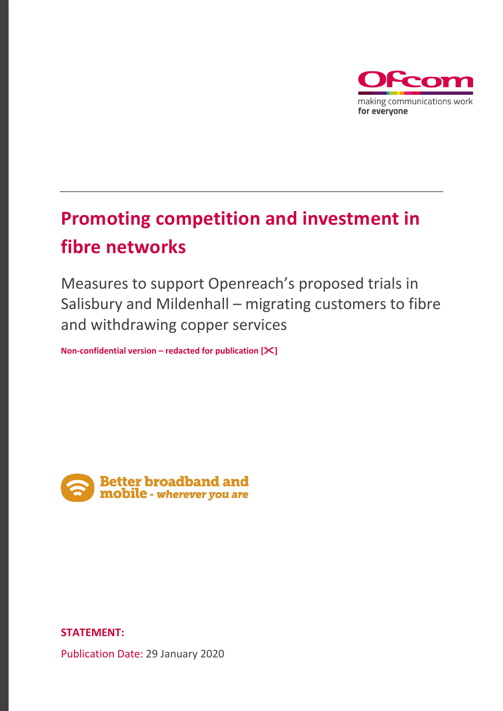

# **Promoting competition and investment in fibre networks**

Measures to support Openreach's proposed trials in Salisbury and Mildenhall – migrating customers to fibre and withdrawing copper services

**Non-confidential version – redacted for publication []** 



## **STATEMENT:**

Publication Date: 29 January 2020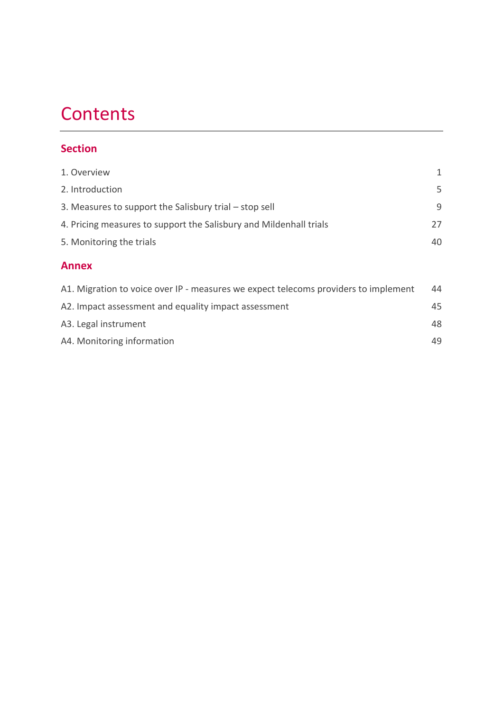# **Contents**

# **Section**

| 1. Overview                                                                         | 1  |
|-------------------------------------------------------------------------------------|----|
| 2. Introduction                                                                     | 5  |
| 3. Measures to support the Salisbury trial – stop sell                              | 9  |
| 4. Pricing measures to support the Salisbury and Mildenhall trials                  | 27 |
| 5. Monitoring the trials                                                            | 40 |
| <b>Annex</b>                                                                        |    |
| A1. Migration to voice over IP - measures we expect telecoms providers to implement | 44 |
|                                                                                     |    |

| A2. Impact assessment and equality impact assessment |  | 45 |
|------------------------------------------------------|--|----|
| A3. Legal instrument                                 |  | 48 |
| A4. Monitoring information                           |  | 49 |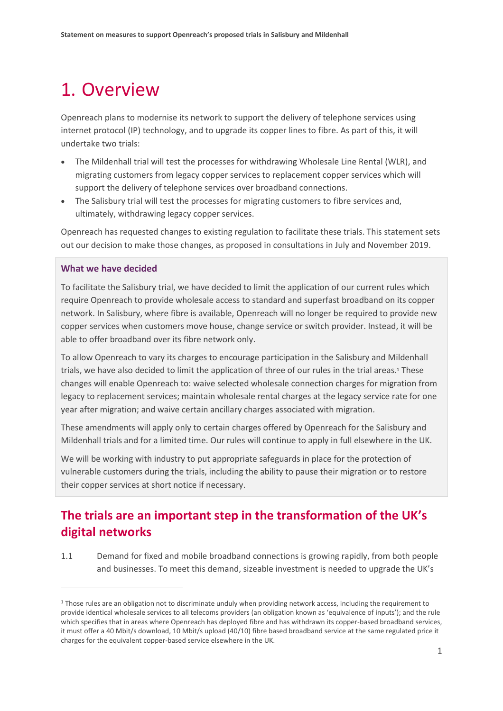# <span id="page-2-0"></span>1. Overview

Openreach plans to modernise its network to support the delivery of telephone services using internet protocol (IP) technology, and to upgrade its copper lines to fibre. As part of this, it will undertake two trials:

- The Mildenhall trial will test the processes for withdrawing Wholesale Line Rental (WLR), and migrating customers from legacy copper services to replacement copper services which will support the delivery of telephone services over broadband connections.
- The Salisbury trial will test the processes for migrating customers to fibre services and, ultimately, withdrawing legacy copper services.

Openreach has requested changes to existing regulation to facilitate these trials. This statement sets out our decision to make those changes, as proposed in consultations in July and November 2019.

### **What we have decided**

 $\overline{a}$ 

To facilitate the Salisbury trial, we have decided to limit the application of our current rules which require Openreach to provide wholesale access to standard and superfast broadband on its copper network. In Salisbury, where fibre is available, Openreach will no longer be required to provide new copper services when customers move house, change service or switch provider. Instead, it will be able to offer broadband over its fibre network only.

To allow Openreach to vary its charges to encourage participation in the Salisbury and Mildenhall trials, we have also decided to limit the application of three of our rules in the trial areas. <sup>1</sup> These changes will enable Openreach to: waive selected wholesale connection charges for migration from legacy to replacement services; maintain wholesale rental charges at the legacy service rate for one year after migration; and waive certain ancillary charges associated with migration.

These amendments will apply only to certain charges offered by Openreach for the Salisbury and Mildenhall trials and for a limited time. Our rules will continue to apply in full elsewhere in the UK.

We will be working with industry to put appropriate safeguards in place for the protection of vulnerable customers during the trials, including the ability to pause their migration or to restore their copper services at short notice if necessary.

# **The trials are an important step in the transformation of the UK's digital networks**

1.1 Demand for fixed and mobile broadband connections is growing rapidly, from both people and businesses. To meet this demand, sizeable investment is needed to upgrade the UK's

<sup>&</sup>lt;sup>1</sup> Those rules are an obligation not to discriminate unduly when providing network access, including the requirement to provide identical wholesale services to all telecoms providers (an obligation known as 'equivalence of inputs'); and the rule which specifies that in areas where Openreach has deployed fibre and has withdrawn its copper-based broadband services, it must offer a 40 Mbit/s download, 10 Mbit/s upload (40/10) fibre based broadband service at the same regulated price it charges for the equivalent copper-based service elsewhere in the UK.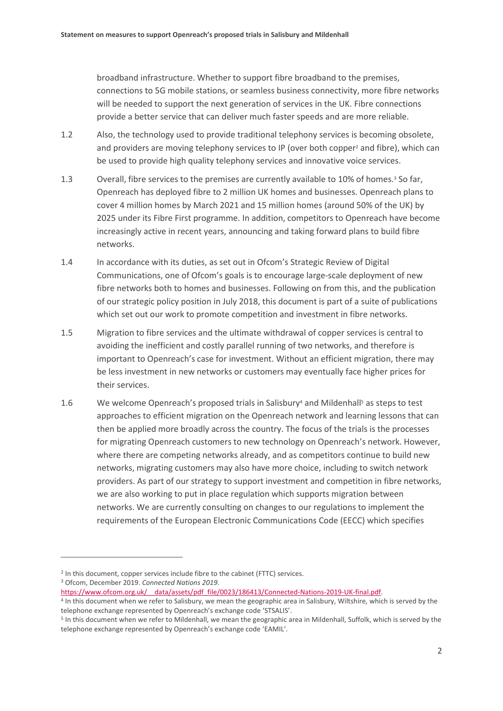broadband infrastructure. Whether to support fibre broadband to the premises, connections to 5G mobile stations, or seamless business connectivity, more fibre networks will be needed to support the next generation of services in the UK. Fibre connections provide a better service that can deliver much faster speeds and are more reliable.

- 1.2 Also, the technology used to provide traditional telephony services is becoming obsolete, and providers are moving telephony services to IP (over both copper<sup>2</sup> and fibre), which can be used to provide high quality telephony services and innovative voice services.
- 1.3 Overall, fibre services to the premises are currently available to 10% of homes.<sup>3</sup> So far, Openreach has deployed fibre to 2 million UK homes and businesses. Openreach plans to cover 4 million homes by March 2021 and 15 million homes (around 50% of the UK) by 2025 under its Fibre First programme. In addition, competitors to Openreach have become increasingly active in recent years, announcing and taking forward plans to build fibre networks.
- 1.4 In accordance with its duties, as set out in Ofcom's Strategic Review of Digital Communications, one of Ofcom's goals is to encourage large-scale deployment of new fibre networks both to homes and businesses. Following on from this, and the publication of our strategic policy position in July 2018, this document is part of a suite of publications which set out our work to promote competition and investment in fibre networks.
- 1.5 Migration to fibre services and the ultimate withdrawal of copper services is central to avoiding the inefficient and costly parallel running of two networks, and therefore is important to Openreach's case for investment. Without an efficient migration, there may be less investment in new networks or customers may eventually face higher prices for their services.
- 1.6 We welcome Openreach's proposed trials in Salisbury<sup>4</sup> and Mildenhall<sup>5</sup> as steps to test approaches to efficient migration on the Openreach network and learning lessons that can then be applied more broadly across the country. The focus of the trials is the processes for migrating Openreach customers to new technology on Openreach's network. However, where there are competing networks already, and as competitors continue to build new networks, migrating customers may also have more choice, including to switch network providers. As part of our strategy to support investment and competition in fibre networks, we are also working to put in place regulation which supports migration between networks. We are currently consulting on changes to our regulations to implement the requirements of the European Electronic Communications Code (EECC) which specifies

<sup>2</sup> In this document, copper services include fibre to the cabinet (FTTC) services.

<sup>3</sup> Ofcom, December 2019. *Connected Nations 2019*.

https://www.ofcom.org.uk/ data/assets/pdf file/0023/186413/Connected-Nations-2019-UK-final.pdf.

<sup>4</sup> In this document when we refer to Salisbury, we mean the geographic area in Salisbury, Wiltshire, which is served by the telephone exchange represented by Openreach's exchange code 'STSALIS'.

<sup>&</sup>lt;sup>5</sup> In this document when we refer to Mildenhall, we mean the geographic area in Mildenhall, Suffolk, which is served by the telephone exchange represented by Openreach's exchange code 'EAMIL'.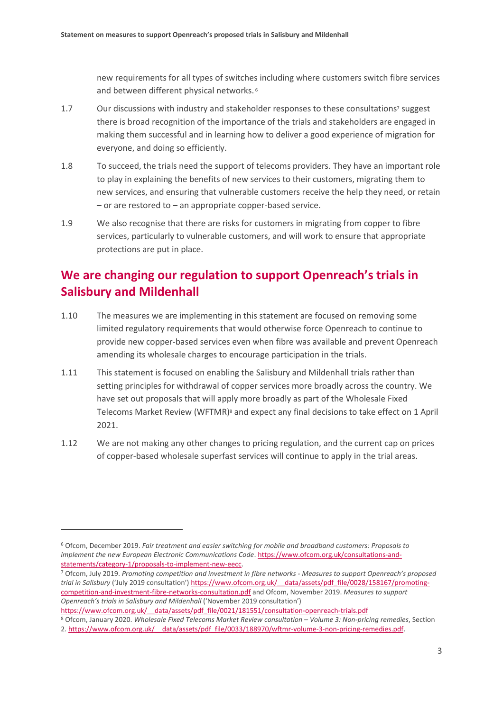new requirements for all types of switches including where customers switch fibre services and between different physical networks. <sup>6</sup>

- 1.7 Our discussions with industry and stakeholder responses to these consultations <sup>7</sup> suggest there is broad recognition of the importance of the trials and stakeholders are engaged in making them successful and in learning how to deliver a good experience of migration for everyone, and doing so efficiently.
- 1.8 To succeed, the trials need the support of telecoms providers. They have an important role to play in explaining the benefits of new services to their customers, migrating them to new services, and ensuring that vulnerable customers receive the help they need, or retain – or are restored to – an appropriate copper-based service.
- 1.9 We also recognise that there are risks for customers in migrating from copper to fibre services, particularly to vulnerable customers, and will work to ensure that appropriate protections are put in place.

# **We are changing our regulation to support Openreach's trials in Salisbury and Mildenhall**

- 1.10 The measures we are implementing in this statement are focused on removing some limited regulatory requirements that would otherwise force Openreach to continue to provide new copper-based services even when fibre was available and prevent Openreach amending its wholesale charges to encourage participation in the trials.
- 1.11 This statement is focused on enabling the Salisbury and Mildenhall trials rather than setting principles for withdrawal of copper services more broadly across the country. We have set out proposals that will apply more broadly as part of the Wholesale Fixed Telecoms Market Review (WFTMR)<sup>8</sup> and expect any final decisions to take effect on 1 April 2021.
- 1.12 We are not making any other changes to pricing regulation, and the current cap on prices of copper-based wholesale superfast services will continue to apply in the trial areas.

https://www.ofcom.org.uk/ data/assets/pdf file/0021/181551/consultation-openreach-trials.pdf

<sup>6</sup> Ofcom, December 2019. *Fair treatment and easier switching for mobile and broadband customers: Proposals to implement the new European Electronic Communications Code*. [https://www.ofcom.org.uk/consultations-and](https://www.ofcom.org.uk/consultations-and-statements/category-1/proposals-to-implement-new-eecc)[statements/category-1/proposals-to-implement-new-eecc.](https://www.ofcom.org.uk/consultations-and-statements/category-1/proposals-to-implement-new-eecc)

<sup>7</sup> Ofcom, July 2019. *Promoting competition and investment in fibre networks - Measures to support Openreach's proposed trial in Salisbury* ('July 2019 consultation') [https://www.ofcom.org.uk/\\_\\_data/assets/pdf\\_file/0028/158167/promoting](https://www.ofcom.org.uk/__data/assets/pdf_file/0028/158167/promoting-competition-and-investment-fibre-networks-consultation.pdf)[competition-and-investment-fibre-networks-consultation.pdf](https://www.ofcom.org.uk/__data/assets/pdf_file/0028/158167/promoting-competition-and-investment-fibre-networks-consultation.pdf) and Ofcom, November 2019. *Measures to support Openreach's trials in Salisbury and Mildenhall* ('November 2019 consultation')

<sup>8</sup> Ofcom, January 2020. *Wholesale Fixed Telecoms Market Review consultation – Volume 3: Non-pricing remedies*, Section

<sup>2.</sup> https://www.ofcom.org.uk/ data/assets/pdf file/0033/188970/wftmr-volume-3-non-pricing-remedies.pdf.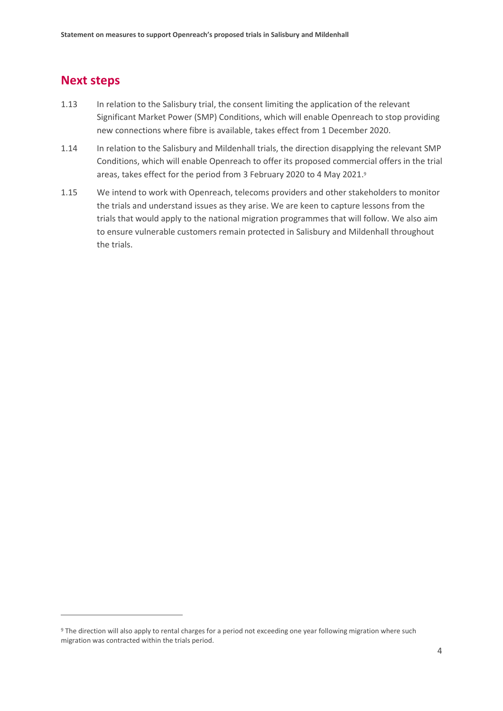## **Next steps**

- 1.13 In relation to the Salisbury trial, the consent limiting the application of the relevant Significant Market Power (SMP) Conditions, which will enable Openreach to stop providing new connections where fibre is available, takes effect from 1 December 2020.
- 1.14 In relation to the Salisbury and Mildenhall trials, the direction disapplying the relevant SMP Conditions, which will enable Openreach to offer its proposed commercial offers in the trial areas, takes effect for the period from 3 February 2020 to 4 May 2021. 9
- 1.15 We intend to work with Openreach, telecoms providers and other stakeholders to monitor the trials and understand issues as they arise. We are keen to capture lessons from the trials that would apply to the national migration programmes that will follow. We also aim to ensure vulnerable customers remain protected in Salisbury and Mildenhall throughout the trials.

<sup>9</sup> The direction will also apply to rental charges for a period not exceeding one year following migration where such migration was contracted within the trials period.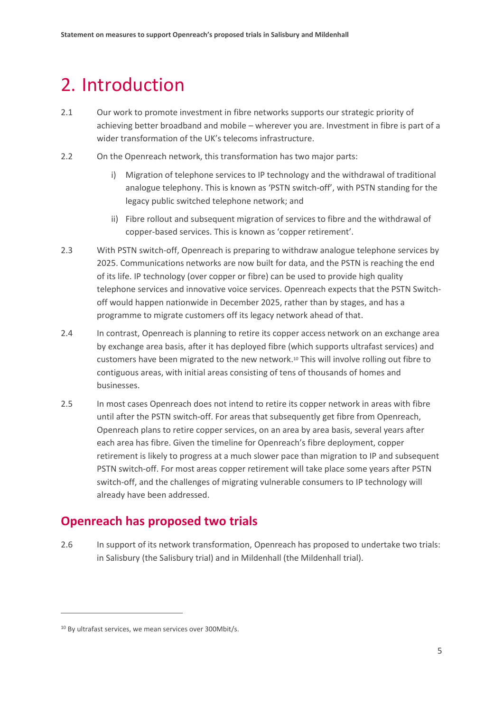# <span id="page-6-0"></span>2. Introduction

- 2.1 Our work to promote investment in fibre networks supports our strategic priority of achieving better broadband and mobile – wherever you are. Investment in fibre is part of a wider transformation of the UK's telecoms infrastructure.
- 2.2 On the Openreach network, this transformation has two major parts:
	- i) Migration of telephone services to IP technology and the withdrawal of traditional analogue telephony. This is known as 'PSTN switch-off', with PSTN standing for the legacy public switched telephone network; and
	- ii) Fibre rollout and subsequent migration of services to fibre and the withdrawal of copper-based services. This is known as 'copper retirement'.
- 2.3 With PSTN switch-off, Openreach is preparing to withdraw analogue telephone services by 2025. Communications networks are now built for data, and the PSTN is reaching the end of its life. IP technology (over copper or fibre) can be used to provide high quality telephone services and innovative voice services. Openreach expects that the PSTN Switchoff would happen nationwide in December 2025, rather than by stages, and has a programme to migrate customers off its legacy network ahead of that.
- 2.4 In contrast, Openreach is planning to retire its copper access network on an exchange area by exchange area basis, after it has deployed fibre (which supports ultrafast services) and customers have been migrated to the new network. <sup>10</sup> This will involve rolling out fibre to contiguous areas, with initial areas consisting of tens of thousands of homes and businesses.
- 2.5 In most cases Openreach does not intend to retire its copper network in areas with fibre until after the PSTN switch-off. For areas that subsequently get fibre from Openreach, Openreach plans to retire copper services, on an area by area basis, several years after each area has fibre. Given the timeline for Openreach's fibre deployment, copper retirement is likely to progress at a much slower pace than migration to IP and subsequent PSTN switch-off. For most areas copper retirement will take place some years after PSTN switch-off, and the challenges of migrating vulnerable consumers to IP technology will already have been addressed.

# **Openreach has proposed two trials**

2.6 In support of its network transformation, Openreach has proposed to undertake two trials: in Salisbury (the Salisbury trial) and in Mildenhall (the Mildenhall trial).

<sup>10</sup> By ultrafast services, we mean services over 300Mbit/s.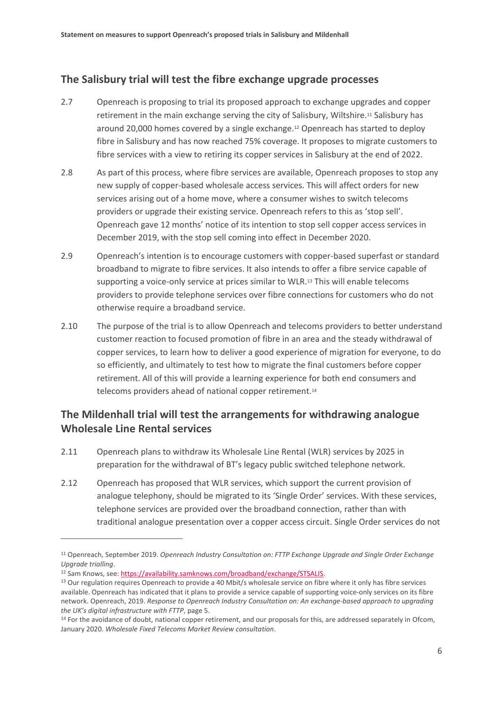## **The Salisbury trial will test the fibre exchange upgrade processes**

- 2.7 Openreach is proposing to trial its proposed approach to exchange upgrades and copper retirement in the main exchange serving the city of Salisbury, Wiltshire.<sup>11</sup> Salisbury has around 20,000 homes covered by a single exchange.<sup>12</sup> Openreach has started to deploy fibre in Salisbury and has now reached 75% coverage. It proposes to migrate customers to fibre services with a view to retiring its copper services in Salisbury at the end of 2022.
- 2.8 As part of this process, where fibre services are available, Openreach proposes to stop any new supply of copper-based wholesale access services. This will affect orders for new services arising out of a home move, where a consumer wishes to switch telecoms providers or upgrade their existing service. Openreach refers to this as 'stop sell'. Openreach gave 12 months' notice of its intention to stop sell copper access services in December 2019, with the stop sell coming into effect in December 2020.
- 2.9 Openreach's intention is to encourage customers with copper-based superfast or standard broadband to migrate to fibre services. It also intends to offer a fibre service capable of supporting a voice-only service at prices similar to WLR.<sup>13</sup> This will enable telecoms providers to provide telephone services over fibre connections for customers who do not otherwise require a broadband service.
- 2.10 The purpose of the trial is to allow Openreach and telecoms providers to better understand customer reaction to focused promotion of fibre in an area and the steady withdrawal of copper services, to learn how to deliver a good experience of migration for everyone, to do so efficiently, and ultimately to test how to migrate the final customers before copper retirement. All of this will provide a learning experience for both end consumers and telecoms providers ahead of national copper retirement.<sup>14</sup>

## **The Mildenhall trial will test the arrangements for withdrawing analogue Wholesale Line Rental services**

- 2.11 Openreach plans to withdraw its Wholesale Line Rental (WLR) services by 2025 in preparation for the withdrawal of BT's legacy public switched telephone network.
- 2.12 Openreach has proposed that WLR services, which support the current provision of analogue telephony, should be migrated to its 'Single Order' services. With these services, telephone services are provided over the broadband connection, rather than with traditional analogue presentation over a copper access circuit. Single Order services do not

<sup>11</sup> Openreach, September 2019. *Openreach Industry Consultation on: FTTP Exchange Upgrade and Single Order Exchange Upgrade trialling*.

<sup>12</sup> Sam Knows, see: [https://availability.samknows.com/broadband/exchange/STSALIS.](https://availability.samknows.com/broadband/exchange/STSALIS) 

<sup>&</sup>lt;sup>13</sup> Our regulation requires Openreach to provide a 40 Mbit/s wholesale service on fibre where it only has fibre services available. Openreach has indicated that it plans to provide a service capable of supporting voice-only services on its fibre network. Openreach, 2019. *Response to Openreach Industry Consultation on: An exchange-based approach to upgrading the UK's digital infrastructure with FTTP*, page 5.

<sup>&</sup>lt;sup>14</sup> For the avoidance of doubt, national copper retirement, and our proposals for this, are addressed separately in Ofcom, January 2020. *Wholesale Fixed Telecoms Market Review consultation*.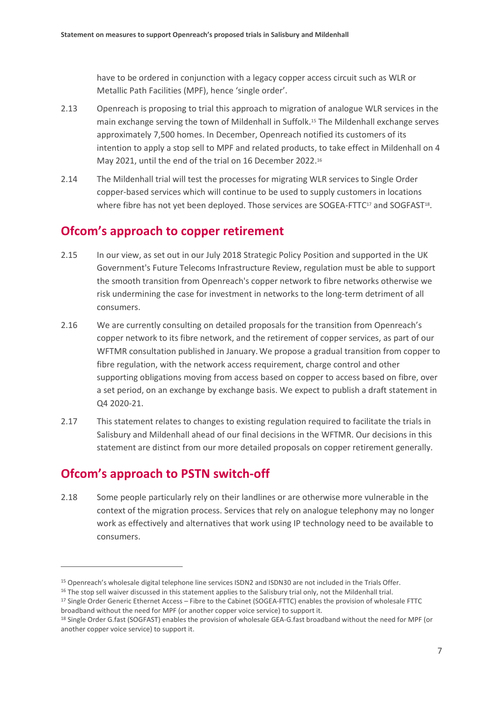have to be ordered in conjunction with a legacy copper access circuit such as WLR or Metallic Path Facilities (MPF), hence 'single order'.

- 2.13 Openreach is proposing to trial this approach to migration of analogue WLR services in the main exchange serving the town of Mildenhall in Suffolk.<sup>15</sup> The Mildenhall exchange serves approximately 7,500 homes. In December, Openreach notified its customers of its intention to apply a stop sell to MPF and related products, to take effect in Mildenhall on 4 May 2021, until the end of the trial on 16 December 2022. 16
- 2.14 The Mildenhall trial will test the processes for migrating WLR services to Single Order copper-based services which will continue to be used to supply customers in locations where fibre has not yet been deployed. Those services are SOGEA-FTTC<sup>17</sup> and SOGFAST<sup>18</sup>.

## **Ofcom's approach to copper retirement**

- 2.15 In our view, as set out in our July 2018 Strategic Policy Position and supported in the UK Government's Future Telecoms Infrastructure Review, regulation must be able to support the smooth transition from Openreach's copper network to fibre networks otherwise we risk undermining the case for investment in networks to the long-term detriment of all consumers.
- 2.16 We are currently consulting on detailed proposals for the transition from Openreach's copper network to its fibre network, and the retirement of copper services, as part of our WFTMR consultation published in January.We propose a gradual transition from copper to fibre regulation, with the network access requirement, charge control and other supporting obligations moving from access based on copper to access based on fibre, over a set period, on an exchange by exchange basis. We expect to publish a draft statement in Q4 2020-21.
- 2.17 This statement relates to changes to existing regulation required to facilitate the trials in Salisbury and Mildenhall ahead of our final decisions in the WFTMR. Our decisions in this statement are distinct from our more detailed proposals on copper retirement generally.

# **Ofcom's approach to PSTN switch-off**

 $\overline{a}$ 

2.18 Some people particularly rely on their landlines or are otherwise more vulnerable in the context of the migration process. Services that rely on analogue telephony may no longer work as effectively and alternatives that work using IP technology need to be available to consumers.

<sup>15</sup> Openreach's wholesale digital telephone line services ISDN2 and ISDN30 are not included in the Trials Offer.

<sup>&</sup>lt;sup>16</sup> The stop sell waiver discussed in this statement applies to the Salisbury trial only, not the Mildenhall trial.

<sup>&</sup>lt;sup>17</sup> Single Order Generic Ethernet Access – Fibre to the Cabinet (SOGEA-FTTC) enables the provision of wholesale FTTC broadband without the need for MPF (or another copper voice service) to support it.

<sup>18</sup> Single Order G.fast (SOGFAST) enables the provision of wholesale GEA-G.fast broadband without the need for MPF (or another copper voice service) to support it.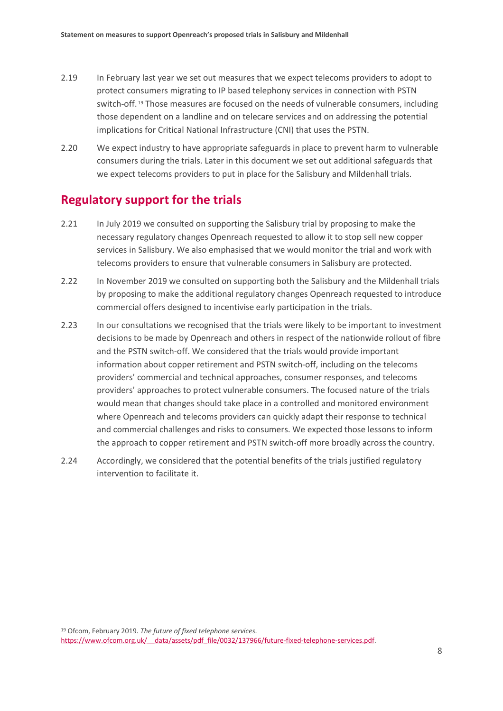- 2.19 In February last year we set out measures that we expect telecoms providers to adopt to protect consumers migrating to IP based telephony services in connection with PSTN switch-off. <sup>19</sup> Those measures are focused on the needs of vulnerable consumers, including those dependent on a landline and on telecare services and on addressing the potential implications for Critical National Infrastructure (CNI) that uses the PSTN.
- 2.20 We expect industry to have appropriate safeguards in place to prevent harm to vulnerable consumers during the trials. Later in this document we set out additional safeguards that we expect telecoms providers to put in place for the Salisbury and Mildenhall trials.

# **Regulatory support for the trials**

- 2.21 In July 2019 we consulted on supporting the Salisbury trial by proposing to make the necessary regulatory changes Openreach requested to allow it to stop sell new copper services in Salisbury. We also emphasised that we would monitor the trial and work with telecoms providers to ensure that vulnerable consumers in Salisbury are protected.
- 2.22 In November 2019 we consulted on supporting both the Salisbury and the Mildenhall trials by proposing to make the additional regulatory changes Openreach requested to introduce commercial offers designed to incentivise early participation in the trials.
- 2.23 In our consultations we recognised that the trials were likely to be important to investment decisions to be made by Openreach and others in respect of the nationwide rollout of fibre and the PSTN switch-off. We considered that the trials would provide important information about copper retirement and PSTN switch-off, including on the telecoms providers' commercial and technical approaches, consumer responses, and telecoms providers' approaches to protect vulnerable consumers. The focused nature of the trials would mean that changes should take place in a controlled and monitored environment where Openreach and telecoms providers can quickly adapt their response to technical and commercial challenges and risks to consumers. We expected those lessons to inform the approach to copper retirement and PSTN switch-off more broadly across the country.
- 2.24 Accordingly, we considered that the potential benefits of the trials justified regulatory intervention to facilitate it.

<sup>19</sup> Ofcom, February 2019. *The future of fixed telephone services.* [https://www.ofcom.org.uk/\\_\\_data/assets/pdf\\_file/0032/137966/future-fixed-telephone-services.pdf.](https://www.ofcom.org.uk/__data/assets/pdf_file/0032/137966/future-fixed-telephone-services.pdf)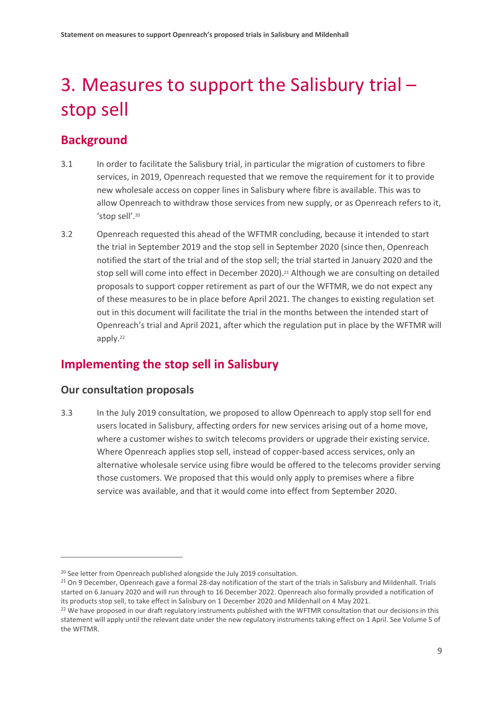# <span id="page-10-0"></span>3. Measures to support the Salisbury trial – stop sell

# **Background**

- 3.1 In order to facilitate the Salisbury trial, in particular the migration of customers to fibre services, in 2019, Openreach requested that we remove the requirement for it to provide new wholesale access on copper lines in Salisbury where fibre is available. This was to allow Openreach to withdraw those services from new supply, or as Openreach refers to it, 'stop sell'. 20
- 3.2 Openreach requested this ahead of the WFTMR concluding, because it intended to start the trial in September 2019 and the stop sell in September 2020 (since then, Openreach notified the start of the trial and of the stop sell; the trial started in January 2020 and the stop sell will come into effect in December 2020).<sup>21</sup> Although we are consulting on detailed proposals to support copper retirement as part of our the WFTMR, we do not expect any of these measures to be in place before April 2021. The changes to existing regulation set out in this document will facilitate the trial in the months between the intended start of Openreach's trial and April 2021, after which the regulation put in place by the WFTMR will apply. 22

# **Implementing the stop sell in Salisbury**

## **Our consultation proposals**

 $\overline{a}$ 

3.3 In the July 2019 consultation, we proposed to allow Openreach to apply stop sell for end users located in Salisbury, affecting orders for new services arising out of a home move, where a customer wishes to switch telecoms providers or upgrade their existing service. Where Openreach applies stop sell, instead of copper-based access services, only an alternative wholesale service using fibre would be offered to the telecoms provider serving those customers. We proposed that this would only apply to premises where a fibre service was available, and that it would come into effect from September 2020.

<sup>&</sup>lt;sup>20</sup> See letter from Openreach published alongside the July 2019 consultation.

<sup>&</sup>lt;sup>21</sup> On 9 December, Openreach gave a formal 28-day notification of the start of the trials in Salisbury and Mildenhall. Trials started on 6 January 2020 and will run through to 16 December 2022. Openreach also formally provided a notification of its products stop sell, to take effect in Salisbury on 1 December 2020 and Mildenhall on 4 May 2021.

<sup>&</sup>lt;sup>22</sup> We have proposed in our draft regulatory instruments published with the WFTMR consultation that our decisions in this statement will apply until the relevant date under the new regulatory instruments taking effect on 1 April. See Volume 5 of the WFTMR.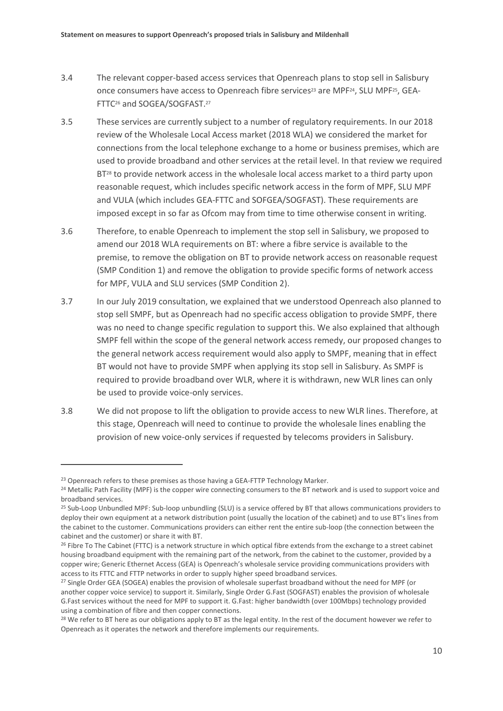- 3.4 The relevant copper-based access services that Openreach plans to stop sell in Salisbury once consumers have access to Openreach fibre services<sup>23</sup> are MPF<sup>24</sup>, SLU MPF<sup>25</sup>, GEA-FTTC<sup>26</sup> and SOGEA/SOGFAST. 27
- 3.5 These services are currently subject to a number of regulatory requirements. In our 2018 review of the Wholesale Local Access market (2018 WLA) we considered the market for connections from the local telephone exchange to a home or business premises, which are used to provide broadband and other services at the retail level. In that review we required BT<sup>28</sup> to provide network access in the wholesale local access market to a third party upon reasonable request, which includes specific network access in the form of MPF, SLU MPF and VULA (which includes GEA-FTTC and SOFGEA/SOGFAST). These requirements are imposed except in so far as Ofcom may from time to time otherwise consent in writing.
- 3.6 Therefore, to enable Openreach to implement the stop sell in Salisbury, we proposed to amend our 2018 WLA requirements on BT: where a fibre service is available to the premise, to remove the obligation on BT to provide network access on reasonable request (SMP Condition 1) and remove the obligation to provide specific forms of network access for MPF, VULA and SLU services (SMP Condition 2).
- 3.7 In our July 2019 consultation, we explained that we understood Openreach also planned to stop sell SMPF, but as Openreach had no specific access obligation to provide SMPF, there was no need to change specific regulation to support this. We also explained that although SMPF fell within the scope of the general network access remedy, our proposed changes to the general network access requirement would also apply to SMPF, meaning that in effect BT would not have to provide SMPF when applying its stop sell in Salisbury. As SMPF is required to provide broadband over WLR, where it is withdrawn, new WLR lines can only be used to provide voice-only services.
- 3.8 We did not propose to lift the obligation to provide access to new WLR lines. Therefore, at this stage, Openreach will need to continue to provide the wholesale lines enabling the provision of new voice-only services if requested by telecoms providers in Salisbury.

<sup>&</sup>lt;sup>23</sup> Openreach refers to these premises as those having a GEA-FTTP Technology Marker.

<sup>&</sup>lt;sup>24</sup> Metallic Path Facility (MPF) is the copper wire connecting consumers to the BT network and is used to support voice and broadband services.

<sup>&</sup>lt;sup>25</sup> Sub-Loop Unbundled MPF: Sub-loop unbundling (SLU) is a service offered by BT that allows communications providers to deploy their own equipment at a network distribution point (usually the location of the cabinet) and to use BT's lines from the cabinet to the customer. Communications providers can either rent the entire sub-loop (the connection between the cabinet and the customer) or share it with BT.

<sup>&</sup>lt;sup>26</sup> Fibre To The Cabinet (FTTC) is a network structure in which optical fibre extends from the exchange to a street cabinet housing broadband equipment with the remaining part of the network, from the cabinet to the customer, provided by a copper wire; Generic Ethernet Access (GEA) is Openreach's wholesale service providing communications providers with access to its FTTC and FTTP networks in order to supply higher speed broadband services.

<sup>&</sup>lt;sup>27</sup> Single Order GEA (SOGEA) enables the provision of wholesale superfast broadband without the need for MPF (or another copper voice service) to support it. Similarly, Single Order G.Fast (SOGFAST) enables the provision of wholesale G.Fast services without the need for MPF to support it. G.Fast: higher bandwidth (over 100Mbps) technology provided using a combination of fibre and then copper connections.

<sup>&</sup>lt;sup>28</sup> We refer to BT here as our obligations apply to BT as the legal entity. In the rest of the document however we refer to Openreach as it operates the network and therefore implements our requirements.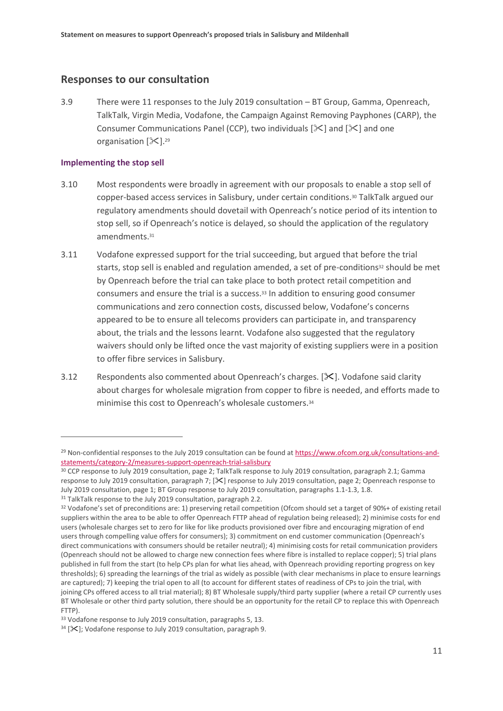### **Responses to our consultation**

3.9 There were 11 responses to the July 2019 consultation – BT Group, Gamma, Openreach, TalkTalk, Virgin Media, Vodafone, the Campaign Against Removing Payphones (CARP), the Consumer Communications Panel (CCP), two individuals  $[\&$ ] and  $[\&]$  and one organisation  $[\mathcal{K}]$ .<sup>29</sup>

### **Implementing the stop sell**

- 3.10 Most respondents were broadly in agreement with our proposals to enable a stop sell of copper-based access services in Salisbury, under certain conditions. <sup>30</sup> TalkTalk argued our regulatory amendments should dovetail with Openreach's notice period of its intention to stop sell, so if Openreach's notice is delayed, so should the application of the regulatory amendments. 31
- 3.11 Vodafone expressed support for the trial succeeding, but argued that before the trial starts, stop sell is enabled and regulation amended, a set of pre-conditions<sup>32</sup> should be met by Openreach before the trial can take place to both protect retail competition and consumers and ensure the trial is a success.<sup>33</sup> In addition to ensuring good consumer communications and zero connection costs, discussed below, Vodafone's concerns appeared to be to ensure all telecoms providers can participate in, and transparency about, the trials and the lessons learnt. Vodafone also suggested that the regulatory waivers should only be lifted once the vast majority of existing suppliers were in a position to offer fibre services in Salisbury.
- 3.12 Respondents also commented about Openreach's charges. [ $\mathcal{X}$ ]. Vodafone said clarity about charges for wholesale migration from copper to fibre is needed, and efforts made to minimise this cost to Openreach's wholesale customers. 34

<sup>&</sup>lt;sup>29</sup> Non-confidential responses to the July 2019 consultation can be found a[t https://www.ofcom.org.uk/consultations-and](https://www.ofcom.org.uk/consultations-and-statements/category-2/measures-support-openreach-trial-salisbury)[statements/category-2/measures-support-openreach-trial-salisbury](https://www.ofcom.org.uk/consultations-and-statements/category-2/measures-support-openreach-trial-salisbury)

<sup>&</sup>lt;sup>30</sup> CCP response to July 2019 consultation, page 2; TalkTalk response to July 2019 consultation, paragraph 2.1; Gamma response to July 2019 consultation, paragraph 7; [ $\mathcal{X}$ ] response to July 2019 consultation, page 2; Openreach response to July 2019 consultation, page 1; BT Group response to July 2019 consultation, paragraphs 1.1-1.3, 1.8.

<sup>&</sup>lt;sup>31</sup> TalkTalk response to the July 2019 consultation, paragraph 2.2.

<sup>&</sup>lt;sup>32</sup> Vodafone's set of preconditions are: 1) preserving retail competition (Ofcom should set a target of 90%+ of existing retail suppliers within the area to be able to offer Openreach FTTP ahead of regulation being released); 2) minimise costs for end users (wholesale charges set to zero for like for like products provisioned over fibre and encouraging migration of end users through compelling value offers for consumers); 3) commitment on end customer communication (Openreach's direct communications with consumers should be retailer neutral); 4) minimising costs for retail communication providers (Openreach should not be allowed to charge new connection fees where fibre is installed to replace copper); 5) trial plans published in full from the start (to help CPs plan for what lies ahead, with Openreach providing reporting progress on key thresholds); 6) spreading the learnings of the trial as widely as possible (with clear mechanisms in place to ensure learnings are captured); 7) keeping the trial open to all (to account for different states of readiness of CPs to join the trial, with joining CPs offered access to all trial material); 8) BT Wholesale supply/third party supplier (where a retail CP currently uses BT Wholesale or other third party solution, there should be an opportunity for the retail CP to replace this with Openreach FTTP).

<sup>33</sup> Vodafone response to July 2019 consultation, paragraphs 5, 13.

 $34$  [ $\mathsf{\times}$ ]; Vodafone response to July 2019 consultation, paragraph 9.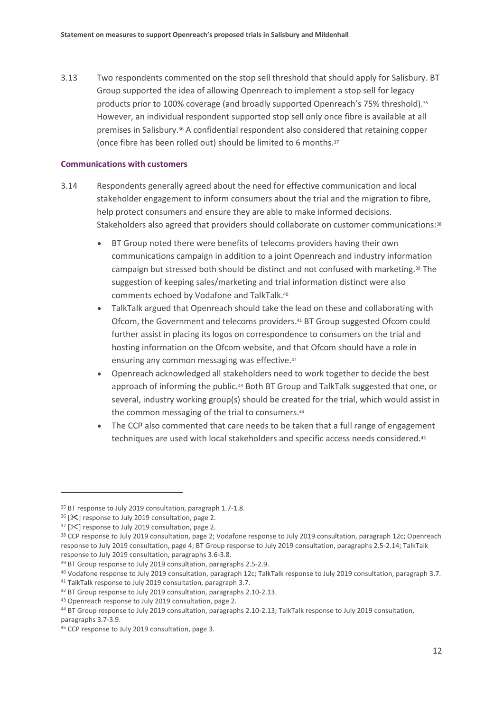3.13 Two respondents commented on the stop sell threshold that should apply for Salisbury. BT Group supported the idea of allowing Openreach to implement a stop sell for legacy products prior to 100% coverage (and broadly supported Openreach's 75% threshold). 35 However, an individual respondent supported stop sell only once fibre is available at all premises in Salisbury. <sup>36</sup> A confidential respondent also considered that retaining copper (once fibre has been rolled out) should be limited to 6 months.<sup>37</sup>

### **Communications with customers**

- 3.14 Respondents generally agreed about the need for effective communication and local stakeholder engagement to inform consumers about the trial and the migration to fibre, help protect consumers and ensure they are able to make informed decisions. Stakeholders also agreed that providers should collaborate on customer communications:<sup>38</sup>
	- BT Group noted there were benefits of telecoms providers having their own communications campaign in addition to a joint Openreach and industry information campaign but stressed both should be distinct and not confused with marketing.<sup>39</sup> The suggestion of keeping sales/marketing and trial information distinct were also comments echoed by Vodafone and TalkTalk. 40
	- TalkTalk argued that Openreach should take the lead on these and collaborating with Ofcom, the Government and telecoms providers. <sup>41</sup> BT Group suggested Ofcom could further assist in placing its logos on correspondence to consumers on the trial and hosting information on the Ofcom website, and that Ofcom should have a role in ensuring any common messaging was effective. 42
	- Openreach acknowledged all stakeholders need to work together to decide the best approach of informing the public.<sup>43</sup> Both BT Group and TalkTalk suggested that one, or several, industry working group(s) should be created for the trial, which would assist in the common messaging of the trial to consumers. 44
	- The CCP also commented that care needs to be taken that a full range of engagement techniques are used with local stakeholders and specific access needs considered. 45

<sup>&</sup>lt;sup>35</sup> BT response to July 2019 consultation, paragraph 1.7-1.8.

 $36$  [ $\mathsf{\times}$ ] response to July 2019 consultation, page 2.

 $37$  [ $\&$ ] response to July 2019 consultation, page 2.

<sup>38</sup> CCP response to July 2019 consultation, page 2; Vodafone response to July 2019 consultation, paragraph 12c; Openreach response to July 2019 consultation, page 4; BT Group response to July 2019 consultation, paragraphs 2.5-2.14; TalkTalk response to July 2019 consultation, paragraphs 3.6-3.8.

<sup>&</sup>lt;sup>39</sup> BT Group response to July 2019 consultation, paragraphs 2.5-2.9.

<sup>40</sup> Vodafone response to July 2019 consultation, paragraph 12c; TalkTalk response to July 2019 consultation, paragraph 3.7.

<sup>41</sup> TalkTalk response to July 2019 consultation, paragraph 3.7.

<sup>&</sup>lt;sup>42</sup> BT Group response to July 2019 consultation, paragraphs 2.10-2.13.

<sup>43</sup> Openreach response to July 2019 consultation, page 2.

<sup>44</sup> BT Group response to July 2019 consultation, paragraphs 2.10-2.13; TalkTalk response to July 2019 consultation, paragraphs 3.7-3.9.

<sup>45</sup> CCP response to July 2019 consultation, page 3.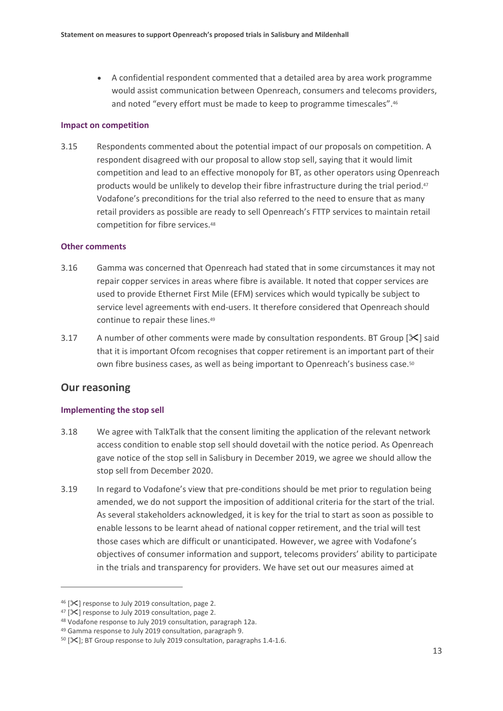• A confidential respondent commented that a detailed area by area work programme would assist communication between Openreach, consumers and telecoms providers, and noted "every effort must be made to keep to programme timescales".<sup>46</sup>

### **Impact on competition**

3.15 Respondents commented about the potential impact of our proposals on competition. A respondent disagreed with our proposal to allow stop sell, saying that it would limit competition and lead to an effective monopoly for BT, as other operators using Openreach products would be unlikely to develop their fibre infrastructure during the trial period.<sup>47</sup> Vodafone's preconditions for the trial also referred to the need to ensure that as many retail providers as possible are ready to sell Openreach's FTTP services to maintain retail competition for fibre services.<sup>48</sup>

### **Other comments**

- 3.16 Gamma was concerned that Openreach had stated that in some circumstances it may not repair copper services in areas where fibre is available. It noted that copper services are used to provide Ethernet First Mile (EFM) services which would typically be subject to service level agreements with end-users. It therefore considered that Openreach should continue to repair these lines. 49
- 3.17 A number of other comments were made by consultation respondents. BT Group  $[\mathcal{K}]$  said that it is important Ofcom recognises that copper retirement is an important part of their own fibre business cases, as well as being important to Openreach's business case.<sup>50</sup>

## **Our reasoning**

 $\overline{a}$ 

### **Implementing the stop sell**

- 3.18 We agree with TalkTalk that the consent limiting the application of the relevant network access condition to enable stop sell should dovetail with the notice period. As Openreach gave notice of the stop sell in Salisbury in December 2019, we agree we should allow the stop sell from December 2020.
- 3.19 In regard to Vodafone's view that pre-conditions should be met prior to regulation being amended, we do not support the imposition of additional criteria for the start of the trial. As several stakeholders acknowledged, it is key for the trial to start as soon as possible to enable lessons to be learnt ahead of national copper retirement, and the trial will test those cases which are difficult or unanticipated. However, we agree with Vodafone's objectives of consumer information and support, telecoms providers' ability to participate in the trials and transparency for providers. We have set out our measures aimed at

 $46$  [ $\mathsf{\times}$ ] response to July 2019 consultation, page 2.

 $47$  [ $\mathsf{\times}$ ] response to July 2019 consultation, page 2.

<sup>48</sup> Vodafone response to July 2019 consultation, paragraph 12a.

<sup>49</sup> Gamma response to July 2019 consultation, paragraph 9.

 $50$  [ $\mathsf{\times}$ ]; BT Group response to July 2019 consultation, paragraphs 1.4-1.6.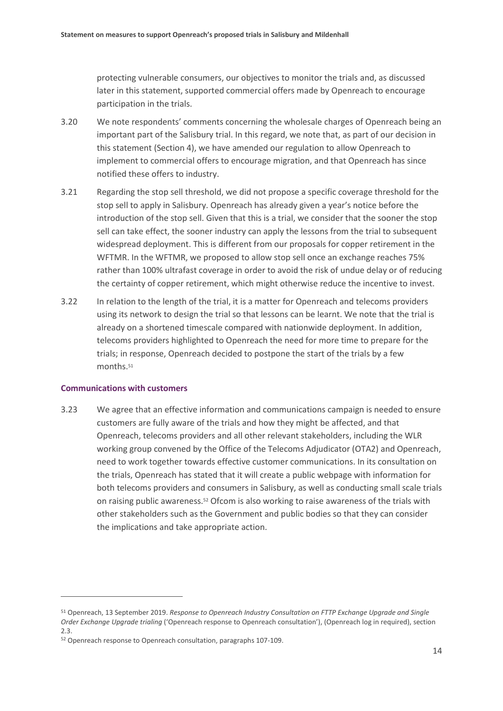protecting vulnerable consumers, our objectives to monitor the trials and, as discussed later in this statement, supported commercial offers made by Openreach to encourage participation in the trials.

- 3.20 We note respondents' comments concerning the wholesale charges of Openreach being an important part of the Salisbury trial. In this regard, we note that, as part of our decision in this statement (Section 4), we have amended our regulation to allow Openreach to implement to commercial offers to encourage migration, and that Openreach has since notified these offers to industry.
- 3.21 Regarding the stop sell threshold, we did not propose a specific coverage threshold for the stop sell to apply in Salisbury. Openreach has already given a year's notice before the introduction of the stop sell. Given that this is a trial, we consider that the sooner the stop sell can take effect, the sooner industry can apply the lessons from the trial to subsequent widespread deployment. This is different from our proposals for copper retirement in the WFTMR. In the WFTMR, we proposed to allow stop sell once an exchange reaches 75% rather than 100% ultrafast coverage in order to avoid the risk of undue delay or of reducing the certainty of copper retirement, which might otherwise reduce the incentive to invest.
- 3.22 In relation to the length of the trial, it is a matter for Openreach and telecoms providers using its network to design the trial so that lessons can be learnt. We note that the trial is already on a shortened timescale compared with nationwide deployment. In addition, telecoms providers highlighted to Openreach the need for more time to prepare for the trials; in response, Openreach decided to postpone the start of the trials by a few months. 51

### **Communications with customers**

 $\overline{a}$ 

3.23 We agree that an effective information and communications campaign is needed to ensure customers are fully aware of the trials and how they might be affected, and that Openreach, telecoms providers and all other relevant stakeholders, including the WLR working group convened by the Office of the Telecoms Adjudicator (OTA2) and Openreach, need to work together towards effective customer communications. In its consultation on the trials, Openreach has stated that it will create a public webpage with information for both telecoms providers and consumers in Salisbury, as well as conducting small scale trials on raising public awareness.<sup>52</sup> Ofcom is also working to raise awareness of the trials with other stakeholders such as the Government and public bodies so that they can consider the implications and take appropriate action.

<sup>51</sup> Openreach, 13 September 2019. *Response to Openreach Industry Consultation on FTTP Exchange Upgrade and Single Order Exchange Upgrade trialing* ('Openreach response to Openreach consultation'), (Openreach log in required), section 2.3.

<sup>52</sup> Openreach response to Openreach consultation, paragraphs 107-109.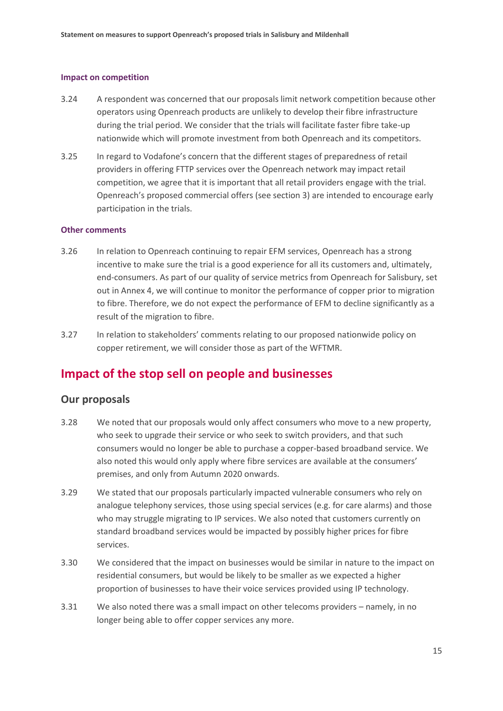### **Impact on competition**

- 3.24 A respondent was concerned that our proposals limit network competition because other operators using Openreach products are unlikely to develop their fibre infrastructure during the trial period. We consider that the trials will facilitate faster fibre take-up nationwide which will promote investment from both Openreach and its competitors.
- 3.25 In regard to Vodafone's concern that the different stages of preparedness of retail providers in offering FTTP services over the Openreach network may impact retail competition, we agree that it is important that all retail providers engage with the trial. Openreach's proposed commercial offers (see section 3) are intended to encourage early participation in the trials.

### **Other comments**

- 3.26 In relation to Openreach continuing to repair EFM services, Openreach has a strong incentive to make sure the trial is a good experience for all its customers and, ultimately, end-consumers. As part of our quality of service metrics from Openreach for Salisbury, set out in Annex 4, we will continue to monitor the performance of copper prior to migration to fibre. Therefore, we do not expect the performance of EFM to decline significantly as a result of the migration to fibre.
- 3.27 In relation to stakeholders' comments relating to our proposed nationwide policy on copper retirement, we will consider those as part of the WFTMR.

## **Impact of the stop sell on people and businesses**

### **Our proposals**

- 3.28 We noted that our proposals would only affect consumers who move to a new property, who seek to upgrade their service or who seek to switch providers, and that such consumers would no longer be able to purchase a copper-based broadband service. We also noted this would only apply where fibre services are available at the consumers' premises, and only from Autumn 2020 onwards.
- 3.29 We stated that our proposals particularly impacted vulnerable consumers who rely on analogue telephony services, those using special services (e.g. for care alarms) and those who may struggle migrating to IP services. We also noted that customers currently on standard broadband services would be impacted by possibly higher prices for fibre services.
- 3.30 We considered that the impact on businesses would be similar in nature to the impact on residential consumers, but would be likely to be smaller as we expected a higher proportion of businesses to have their voice services provided using IP technology.
- 3.31 We also noted there was a small impact on other telecoms providers namely, in no longer being able to offer copper services any more.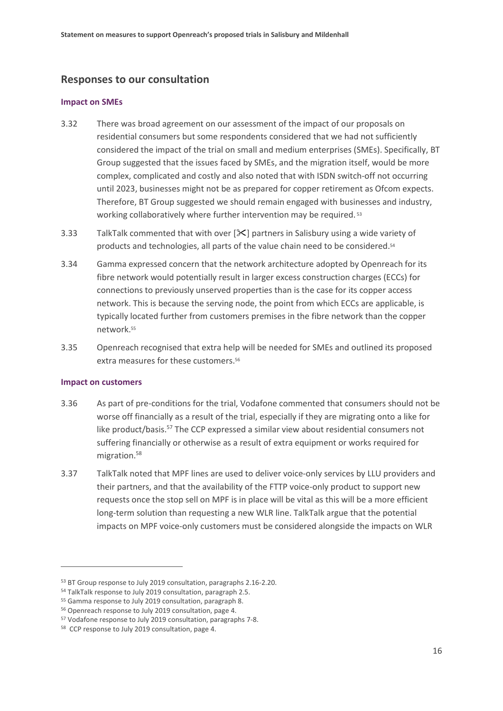## **Responses to our consultation**

### **Impact on SMEs**

- 3.32 There was broad agreement on our assessment of the impact of our proposals on residential consumers but some respondents considered that we had not sufficiently considered the impact of the trial on small and medium enterprises (SMEs). Specifically, BT Group suggested that the issues faced by SMEs, and the migration itself, would be more complex, complicated and costly and also noted that with ISDN switch-off not occurring until 2023, businesses might not be as prepared for copper retirement as Ofcom expects. Therefore, BT Group suggested we should remain engaged with businesses and industry, working collaboratively where further intervention may be required.<sup>53</sup>
- 3.33 TalkTalk commented that with over  $[\<]$  partners in Salisbury using a wide variety of products and technologies, all parts of the value chain need to be considered.<sup>54</sup>
- 3.34 Gamma expressed concern that the network architecture adopted by Openreach for its fibre network would potentially result in larger excess construction charges (ECCs) for connections to previously unserved properties than is the case for its copper access network. This is because the serving node, the point from which ECCs are applicable, is typically located further from customers premises in the fibre network than the copper network. 55
- 3.35 Openreach recognised that extra help will be needed for SMEs and outlined its proposed extra measures for these customers.<sup>56</sup>

### **Impact on customers**

- 3.36 As part of pre-conditions for the trial, Vodafone commented that consumers should not be worse off financially as a result of the trial, especially if they are migrating onto a like for like product/basis.<sup>57</sup> The CCP expressed a similar view about residential consumers not suffering financially or otherwise as a result of extra equipment or works required for migration.<sup>58</sup>
- 3.37 TalkTalk noted that MPF lines are used to deliver voice-only services by LLU providers and their partners, and that the availability of the FTTP voice-only product to support new requests once the stop sell on MPF is in place will be vital as this will be a more efficient long-term solution than requesting a new WLR line. TalkTalk argue that the potential impacts on MPF voice-only customers must be considered alongside the impacts on WLR

<sup>53</sup> BT Group response to July 2019 consultation, paragraphs 2.16-2.20.

<sup>54</sup> TalkTalk response to July 2019 consultation, paragraph 2.5.

<sup>55</sup> Gamma response to July 2019 consultation, paragraph 8.

<sup>56</sup> Openreach response to July 2019 consultation, page 4.

<sup>57</sup> Vodafone response to July 2019 consultation, paragraphs 7-8.

<sup>58</sup> CCP response to July 2019 consultation, page 4.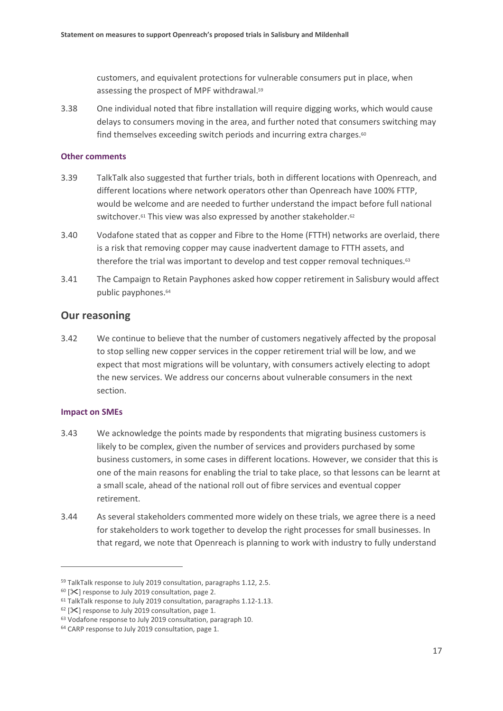customers, and equivalent protections for vulnerable consumers put in place, when assessing the prospect of MPF withdrawal.<sup>59</sup>

3.38 One individual noted that fibre installation will require digging works, which would cause delays to consumers moving in the area, and further noted that consumers switching may find themselves exceeding switch periods and incurring extra charges.<sup>60</sup>

### **Other comments**

- 3.39 TalkTalk also suggested that further trials, both in different locations with Openreach, and different locations where network operators other than Openreach have 100% FTTP, would be welcome and are needed to further understand the impact before full national switchover.<sup>61</sup> This view was also expressed by another stakeholder.<sup>62</sup>
- 3.40 Vodafone stated that as copper and Fibre to the Home (FTTH) networks are overlaid, there is a risk that removing copper may cause inadvertent damage to FTTH assets, and therefore the trial was important to develop and test copper removal techniques.<sup>63</sup>
- 3.41 The Campaign to Retain Payphones asked how copper retirement in Salisbury would affect public payphones.<sup>64</sup>

### **Our reasoning**

3.42 We continue to believe that the number of customers negatively affected by the proposal to stop selling new copper services in the copper retirement trial will be low, and we expect that most migrations will be voluntary, with consumers actively electing to adopt the new services. We address our concerns about vulnerable consumers in the next section.

### **Impact on SMEs**

- 3.43 We acknowledge the points made by respondents that migrating business customers is likely to be complex, given the number of services and providers purchased by some business customers, in some cases in different locations. However, we consider that this is one of the main reasons for enabling the trial to take place, so that lessons can be learnt at a small scale, ahead of the national roll out of fibre services and eventual copper retirement.
- 3.44 As several stakeholders commented more widely on these trials, we agree there is a need for stakeholders to work together to develop the right processes for small businesses. In that regard, we note that Openreach is planning to work with industry to fully understand

<sup>59</sup> TalkTalk response to July 2019 consultation, paragraphs 1.12, 2.5.

 $60$  [ $\mathsf{\times}$ ] response to July 2019 consultation, page 2.

<sup>&</sup>lt;sup>61</sup> TalkTalk response to July 2019 consultation, paragraphs 1.12-1.13.

 $62$  [ $\times$ ] response to July 2019 consultation, page 1.

<sup>63</sup> Vodafone response to July 2019 consultation, paragraph 10.

<sup>64</sup> CARP response to July 2019 consultation, page 1.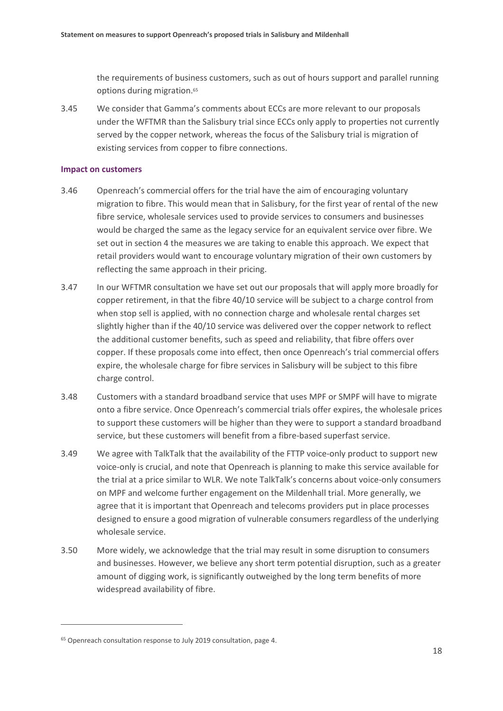the requirements of business customers, such as out of hours support and parallel running options during migration.<sup>65</sup>

3.45 We consider that Gamma's comments about ECCs are more relevant to our proposals under the WFTMR than the Salisbury trial since ECCs only apply to properties not currently served by the copper network, whereas the focus of the Salisbury trial is migration of existing services from copper to fibre connections.

### **Impact on customers**

- 3.46 Openreach's commercial offers for the trial have the aim of encouraging voluntary migration to fibre. This would mean that in Salisbury, for the first year of rental of the new fibre service, wholesale services used to provide services to consumers and businesses would be charged the same as the legacy service for an equivalent service over fibre. We set out in section 4 the measures we are taking to enable this approach. We expect that retail providers would want to encourage voluntary migration of their own customers by reflecting the same approach in their pricing.
- 3.47 In our WFTMR consultation we have set out our proposals that will apply more broadly for copper retirement, in that the fibre 40/10 service will be subject to a charge control from when stop sell is applied, with no connection charge and wholesale rental charges set slightly higher than if the 40/10 service was delivered over the copper network to reflect the additional customer benefits, such as speed and reliability, that fibre offers over copper. If these proposals come into effect, then once Openreach's trial commercial offers expire, the wholesale charge for fibre services in Salisbury will be subject to this fibre charge control.
- 3.48 Customers with a standard broadband service that uses MPF or SMPF will have to migrate onto a fibre service. Once Openreach's commercial trials offer expires, the wholesale prices to support these customers will be higher than they were to support a standard broadband service, but these customers will benefit from a fibre-based superfast service.
- 3.49 We agree with TalkTalk that the availability of the FTTP voice-only product to support new voice-only is crucial, and note that Openreach is planning to make this service available for the trial at a price similar to WLR. We note TalkTalk's concerns about voice-only consumers on MPF and welcome further engagement on the Mildenhall trial. More generally, we agree that it is important that Openreach and telecoms providers put in place processes designed to ensure a good migration of vulnerable consumers regardless of the underlying wholesale service.
- 3.50 More widely, we acknowledge that the trial may result in some disruption to consumers and businesses. However, we believe any short term potential disruption, such as a greater amount of digging work, is significantly outweighed by the long term benefits of more widespread availability of fibre.

<sup>&</sup>lt;sup>65</sup> Openreach consultation response to July 2019 consultation, page 4.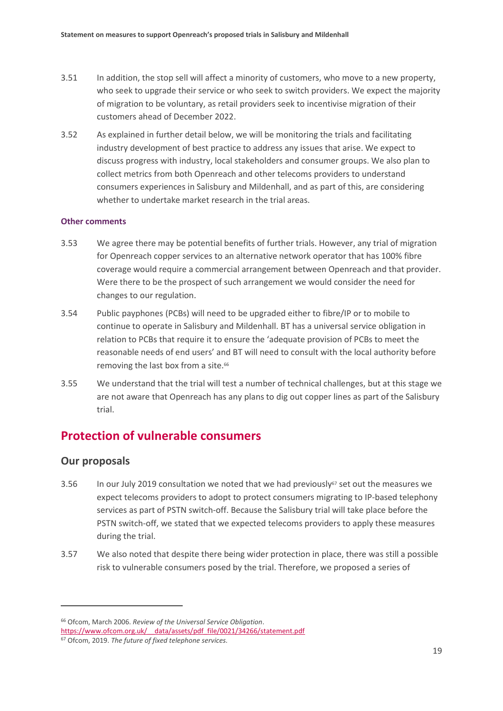- 3.51 In addition, the stop sell will affect a minority of customers, who move to a new property, who seek to upgrade their service or who seek to switch providers. We expect the majority of migration to be voluntary, as retail providers seek to incentivise migration of their customers ahead of December 2022.
- 3.52 As explained in further detail below, we will be monitoring the trials and facilitating industry development of best practice to address any issues that arise. We expect to discuss progress with industry, local stakeholders and consumer groups. We also plan to collect metrics from both Openreach and other telecoms providers to understand consumers experiences in Salisbury and Mildenhall, and as part of this, are considering whether to undertake market research in the trial areas.

### **Other comments**

- 3.53 We agree there may be potential benefits of further trials. However, any trial of migration for Openreach copper services to an alternative network operator that has 100% fibre coverage would require a commercial arrangement between Openreach and that provider. Were there to be the prospect of such arrangement we would consider the need for changes to our regulation.
- 3.54 Public payphones (PCBs) will need to be upgraded either to fibre/IP or to mobile to continue to operate in Salisbury and Mildenhall. BT has a universal service obligation in relation to PCBs that require it to ensure the 'adequate provision of PCBs to meet the reasonable needs of end users' and BT will need to consult with the local authority before removing the last box from a site.<sup>66</sup>
- 3.55 We understand that the trial will test a number of technical challenges, but at this stage we are not aware that Openreach has any plans to dig out copper lines as part of the Salisbury trial.

# **Protection of vulnerable consumers**

## **Our proposals**

- 3.56 In our July 2019 consultation we noted that we had previously<sup>67</sup> set out the measures we expect telecoms providers to adopt to protect consumers migrating to IP-based telephony services as part of PSTN switch-off. Because the Salisbury trial will take place before the PSTN switch-off, we stated that we expected telecoms providers to apply these measures during the trial.
- 3.57 We also noted that despite there being wider protection in place, there was still a possible risk to vulnerable consumers posed by the trial. Therefore, we proposed a series of

<sup>66</sup> Ofcom, March 2006. *Review of the Universal Service Obligation*. https://www.ofcom.org.uk/ data/assets/pdf file/0021/34266/statement.pdf

<sup>67</sup> Ofcom, 2019. *The future of fixed telephone services.*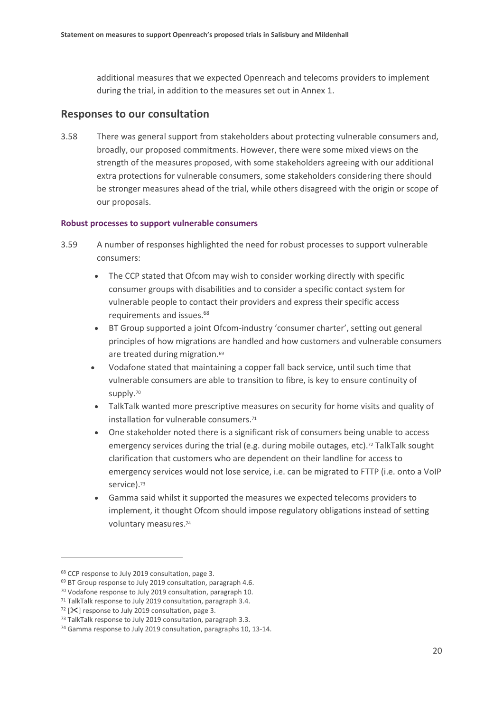additional measures that we expected Openreach and telecoms providers to implement during the trial, in addition to the measures set out in Annex 1.

### **Responses to our consultation**

3.58 There was general support from stakeholders about protecting vulnerable consumers and, broadly, our proposed commitments. However, there were some mixed views on the strength of the measures proposed, with some stakeholders agreeing with our additional extra protections for vulnerable consumers, some stakeholders considering there should be stronger measures ahead of the trial, while others disagreed with the origin or scope of our proposals.

### **Robust processes to support vulnerable consumers**

- 3.59 A number of responses highlighted the need for robust processes to support vulnerable consumers:
	- The CCP stated that Ofcom may wish to consider working directly with specific consumer groups with disabilities and to consider a specific contact system for vulnerable people to contact their providers and express their specific access requirements and issues.<sup>68</sup>
	- BT Group supported a joint Ofcom-industry 'consumer charter', setting out general principles of how migrations are handled and how customers and vulnerable consumers are treated during migration.<sup>69</sup>
	- Vodafone stated that maintaining a copper fall back service, until such time that vulnerable consumers are able to transition to fibre, is key to ensure continuity of supply.<sup>70</sup>
	- TalkTalk wanted more prescriptive measures on security for home visits and quality of installation for vulnerable consumers. 71
	- One stakeholder noted there is a significant risk of consumers being unable to access emergency services during the trial (e.g. during mobile outages, etc).<sup>72</sup> TalkTalk sought clarification that customers who are dependent on their landline for access to emergency services would not lose service, i.e. can be migrated to FTTP (i.e. onto a VoIP service).<sup>73</sup>
	- Gamma said whilst it supported the measures we expected telecoms providers to implement, it thought Ofcom should impose regulatory obligations instead of setting voluntary measures. 74

<sup>68</sup> CCP response to July 2019 consultation, page 3.

<sup>69</sup> BT Group response to July 2019 consultation, paragraph 4.6.

<sup>70</sup> Vodafone response to July 2019 consultation, paragraph 10.

<sup>&</sup>lt;sup>71</sup> TalkTalk response to July 2019 consultation, paragraph 3.4.

 $72$  [ $\mathsf{\times}$ ] response to July 2019 consultation, page 3.

<sup>73</sup> TalkTalk response to July 2019 consultation, paragraph 3.3.

<sup>74</sup> Gamma response to July 2019 consultation, paragraphs 10, 13-14.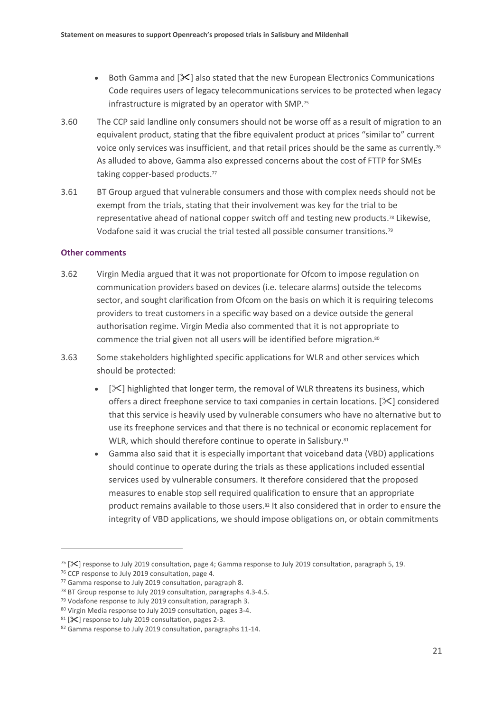- Both Gamma and [ $X$ ] also stated that the new European Electronics Communications Code requires users of legacy telecommunications services to be protected when legacy infrastructure is migrated by an operator with SMP. 75
- 3.60 The CCP said landline only consumers should not be worse off as a result of migration to an equivalent product, stating that the fibre equivalent product at prices "similar to" current voice only services was insufficient, and that retail prices should be the same as currently.<sup>76</sup> As alluded to above, Gamma also expressed concerns about the cost of FTTP for SMEs taking copper-based products. 77
- 3.61 BT Group argued that vulnerable consumers and those with complex needs should not be exempt from the trials, stating that their involvement was key for the trial to be representative ahead of national copper switch off and testing new products. <sup>78</sup> Likewise, Vodafone said it was crucial the trial tested all possible consumer transitions.<sup>79</sup>

### **Other comments**

- 3.62 Virgin Media argued that it was not proportionate for Ofcom to impose regulation on communication providers based on devices (i.e. telecare alarms) outside the telecoms sector, and sought clarification from Ofcom on the basis on which it is requiring telecoms providers to treat customers in a specific way based on a device outside the general authorisation regime. Virgin Media also commented that it is not appropriate to commence the trial given not all users will be identified before migration.<sup>80</sup>
- 3.63 Some stakeholders highlighted specific applications for WLR and other services which should be protected:
	- $[\&]$  highlighted that longer term, the removal of WLR threatens its business, which offers a direct freephone service to taxi companies in certain locations. [ $\mathcal{X}$ ] considered that this service is heavily used by vulnerable consumers who have no alternative but to use its freephone services and that there is no technical or economic replacement for WLR, which should therefore continue to operate in Salisbury.<sup>81</sup>
	- Gamma also said that it is especially important that voiceband data (VBD) applications should continue to operate during the trials as these applications included essential services used by vulnerable consumers. It therefore considered that the proposed measures to enable stop sell required qualification to ensure that an appropriate product remains available to those users.<sup>82</sup> It also considered that in order to ensure the integrity of VBD applications, we should impose obligations on, or obtain commitments

<sup>&</sup>lt;sup>75</sup> [ $\mathcal{S}$ ] response to July 2019 consultation, page 4; Gamma response to July 2019 consultation, paragraph 5, 19.

<sup>76</sup> CCP response to July 2019 consultation, page 4.

<sup>77</sup> Gamma response to July 2019 consultation, paragraph 8.

<sup>78</sup> BT Group response to July 2019 consultation, paragraphs 4.3-4.5.

<sup>79</sup> Vodafone response to July 2019 consultation, paragraph 3.

<sup>80</sup> Virgin Media response to July 2019 consultation, pages 3-4.

<sup>81 [</sup> $\mathsf{\times}$ ] response to July 2019 consultation, pages 2-3.

<sup>82</sup> Gamma response to July 2019 consultation, paragraphs 11-14.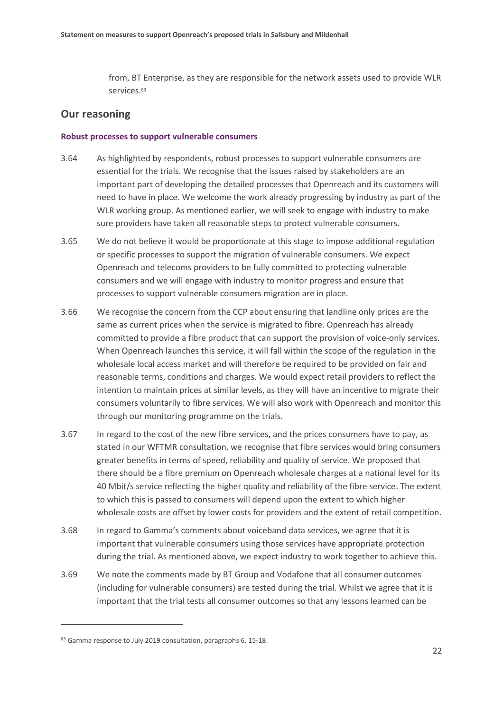from, BT Enterprise, as they are responsible for the network assets used to provide WLR services. 83

### **Our reasoning**

### **Robust processes to support vulnerable consumers**

- 3.64 As highlighted by respondents, robust processes to support vulnerable consumers are essential for the trials. We recognise that the issues raised by stakeholders are an important part of developing the detailed processes that Openreach and its customers will need to have in place. We welcome the work already progressing by industry as part of the WLR working group. As mentioned earlier, we will seek to engage with industry to make sure providers have taken all reasonable steps to protect vulnerable consumers.
- 3.65 We do not believe it would be proportionate at this stage to impose additional regulation or specific processes to support the migration of vulnerable consumers. We expect Openreach and telecoms providers to be fully committed to protecting vulnerable consumers and we will engage with industry to monitor progress and ensure that processes to support vulnerable consumers migration are in place.
- 3.66 We recognise the concern from the CCP about ensuring that landline only prices are the same as current prices when the service is migrated to fibre. Openreach has already committed to provide a fibre product that can support the provision of voice-only services. When Openreach launches this service, it will fall within the scope of the regulation in the wholesale local access market and will therefore be required to be provided on fair and reasonable terms, conditions and charges. We would expect retail providers to reflect the intention to maintain prices at similar levels, as they will have an incentive to migrate their consumers voluntarily to fibre services. We will also work with Openreach and monitor this through our monitoring programme on the trials.
- 3.67 In regard to the cost of the new fibre services, and the prices consumers have to pay, as stated in our WFTMR consultation, we recognise that fibre services would bring consumers greater benefits in terms of speed, reliability and quality of service. We proposed that there should be a fibre premium on Openreach wholesale charges at a national level for its 40 Mbit/s service reflecting the higher quality and reliability of the fibre service. The extent to which this is passed to consumers will depend upon the extent to which higher wholesale costs are offset by lower costs for providers and the extent of retail competition.
- 3.68 In regard to Gamma's comments about voiceband data services, we agree that it is important that vulnerable consumers using those services have appropriate protection during the trial. As mentioned above, we expect industry to work together to achieve this.
- 3.69 We note the comments made by BT Group and Vodafone that all consumer outcomes (including for vulnerable consumers) are tested during the trial. Whilst we agree that it is important that the trial tests all consumer outcomes so that any lessons learned can be

<sup>83</sup> Gamma response to July 2019 consultation, paragraphs 6, 15-18.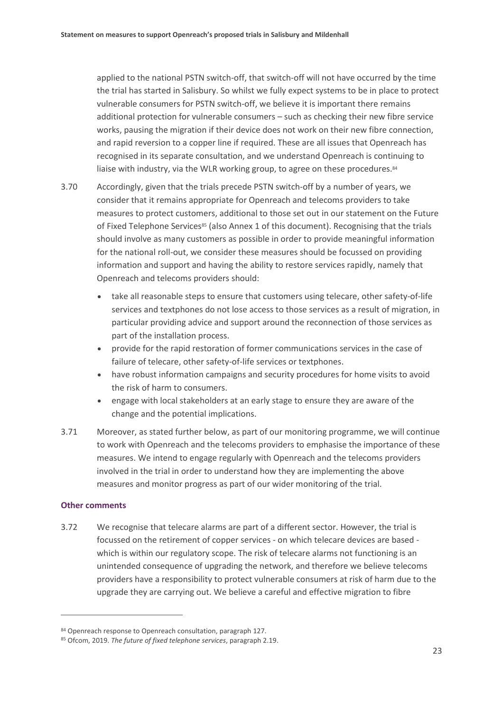applied to the national PSTN switch-off, that switch-off will not have occurred by the time the trial has started in Salisbury. So whilst we fully expect systems to be in place to protect vulnerable consumers for PSTN switch-off, we believe it is important there remains additional protection for vulnerable consumers – such as checking their new fibre service works, pausing the migration if their device does not work on their new fibre connection, and rapid reversion to a copper line if required. These are all issues that Openreach has recognised in its separate consultation, and we understand Openreach is continuing to liaise with industry, via the WLR working group, to agree on these procedures.<sup>84</sup>

- 3.70 Accordingly, given that the trials precede PSTN switch-off by a number of years, we consider that it remains appropriate for Openreach and telecoms providers to take measures to protect customers, additional to those set out in our statement on the Future of Fixed Telephone Services<sup>85</sup> (also Annex 1 of this document). Recognising that the trials should involve as many customers as possible in order to provide meaningful information for the national roll-out, we consider these measures should be focussed on providing information and support and having the ability to restore services rapidly, namely that Openreach and telecoms providers should:
	- take all reasonable steps to ensure that customers using telecare, other safety-of-life services and textphones do not lose access to those services as a result of migration, in particular providing advice and support around the reconnection of those services as part of the installation process.
	- provide for the rapid restoration of former communications services in the case of failure of telecare, other safety-of-life services or textphones.
	- have robust information campaigns and security procedures for home visits to avoid the risk of harm to consumers.
	- engage with local stakeholders at an early stage to ensure they are aware of the change and the potential implications.
- 3.71 Moreover, as stated further below, as part of our monitoring programme, we will continue to work with Openreach and the telecoms providers to emphasise the importance of these measures. We intend to engage regularly with Openreach and the telecoms providers involved in the trial in order to understand how they are implementing the above measures and monitor progress as part of our wider monitoring of the trial.

### **Other comments**

 $\overline{a}$ 

3.72 We recognise that telecare alarms are part of a different sector. However, the trial is focussed on the retirement of copper services - on which telecare devices are based which is within our regulatory scope. The risk of telecare alarms not functioning is an unintended consequence of upgrading the network, and therefore we believe telecoms providers have a responsibility to protect vulnerable consumers at risk of harm due to the upgrade they are carrying out. We believe a careful and effective migration to fibre

<sup>84</sup> Openreach response to Openreach consultation, paragraph 127.

<sup>85</sup> Ofcom, 2019. *The future of fixed telephone services*, paragraph 2.19.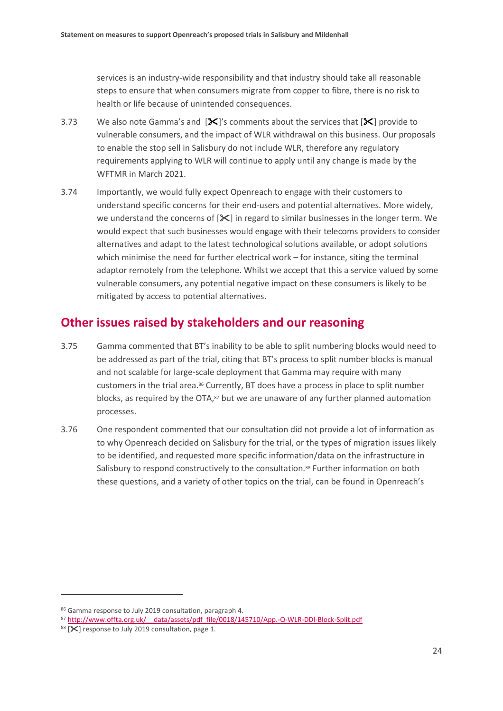services is an industry-wide responsibility and that industry should take all reasonable steps to ensure that when consumers migrate from copper to fibre, there is no risk to health or life because of unintended consequences.

- 3.73 We also note Gamma's and  $[\mathcal{K}]'$ s comments about the services that  $[\mathcal{K}]$  provide to vulnerable consumers, and the impact of WLR withdrawal on this business. Our proposals to enable the stop sell in Salisbury do not include WLR, therefore any regulatory requirements applying to WLR will continue to apply until any change is made by the WFTMR in March 2021.
- 3.74 Importantly, we would fully expect Openreach to engage with their customers to understand specific concerns for their end-users and potential alternatives. More widely, we understand the concerns of  $[X]$  in regard to similar businesses in the longer term. We would expect that such businesses would engage with their telecoms providers to consider alternatives and adapt to the latest technological solutions available, or adopt solutions which minimise the need for further electrical work – for instance, siting the terminal adaptor remotely from the telephone. Whilst we accept that this a service valued by some vulnerable consumers, any potential negative impact on these consumers is likely to be mitigated by access to potential alternatives.

## **Other issues raised by stakeholders and our reasoning**

- 3.75 Gamma commented that BT's inability to be able to split numbering blocks would need to be addressed as part of the trial, citing that BT's process to split number blocks is manual and not scalable for large-scale deployment that Gamma may require with many customers in the trial area. <sup>86</sup> Currently, BT does have a process in place to split number blocks, as required by the OTA,<sup>87</sup> but we are unaware of any further planned automation processes.
- 3.76 One respondent commented that our consultation did not provide a lot of information as to why Openreach decided on Salisbury for the trial, or the types of migration issues likely to be identified, and requested more specific information/data on the infrastructure in Salisbury to respond constructively to the consultation.<sup>88</sup> Further information on both these questions, and a variety of other topics on the trial, can be found in Openreach's

<sup>86</sup> Gamma response to July 2019 consultation, paragraph 4.

<sup>87</sup> http://www.offta.org.uk/ data/assets/pdf file/0018/145710/App.-Q-WLR-DDI-Block-Split.pdf

<sup>88 [</sup> $\mathsf{\times}$ ] response to July 2019 consultation, page 1.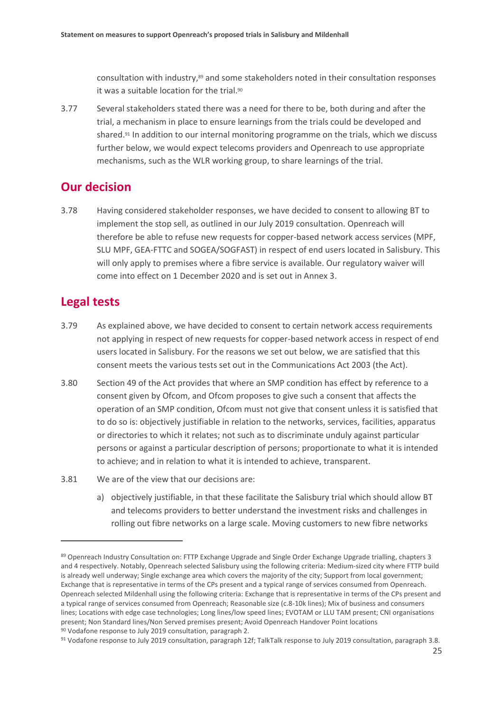consultation with industry, <sup>89</sup> and some stakeholders noted in their consultation responses it was a suitable location for the trial.<sup>90</sup>

3.77 Several stakeholders stated there was a need for there to be, both during and after the trial, a mechanism in place to ensure learnings from the trials could be developed and shared.<sup>91</sup> In addition to our internal monitoring programme on the trials, which we discuss further below, we would expect telecoms providers and Openreach to use appropriate mechanisms, such as the WLR working group, to share learnings of the trial.

## **Our decision**

3.78 Having considered stakeholder responses, we have decided to consent to allowing BT to implement the stop sell, as outlined in our July 2019 consultation. Openreach will therefore be able to refuse new requests for copper-based network access services (MPF, SLU MPF, GEA-FTTC and SOGEA/SOGFAST) in respect of end users located in Salisbury. This will only apply to premises where a fibre service is available. Our regulatory waiver will come into effect on 1 December 2020 and is set out in Annex 3.

# **Legal tests**

- 3.79 As explained above, we have decided to consent to certain network access requirements not applying in respect of new requests for copper-based network access in respect of end users located in Salisbury. For the reasons we set out below, we are satisfied that this consent meets the various tests set out in the Communications Act 2003 (the Act).
- 3.80 Section 49 of the Act provides that where an SMP condition has effect by reference to a consent given by Ofcom, and Ofcom proposes to give such a consent that affects the operation of an SMP condition, Ofcom must not give that consent unless it is satisfied that to do so is: objectively justifiable in relation to the networks, services, facilities, apparatus or directories to which it relates; not such as to discriminate unduly against particular persons or against a particular description of persons; proportionate to what it is intended to achieve; and in relation to what it is intended to achieve, transparent.
- 3.81 We are of the view that our decisions are:
	- a) objectively justifiable, in that these facilitate the Salisbury trial which should allow BT and telecoms providers to better understand the investment risks and challenges in rolling out fibre networks on a large scale. Moving customers to new fibre networks

<sup>89</sup> Openreach Industry Consultation on: FTTP Exchange Upgrade and Single Order Exchange Upgrade trialling, chapters 3 and 4 respectively. Notably, Openreach selected Salisbury using the following criteria: Medium-sized city where FTTP build is already well underway; Single exchange area which covers the majority of the city; Support from local government; Exchange that is representative in terms of the CPs present and a typical range of services consumed from Openreach. Openreach selected Mildenhall using the following criteria: Exchange that is representative in terms of the CPs present and a typical range of services consumed from Openreach; Reasonable size (c.8-10k lines); Mix of business and consumers lines; Locations with edge case technologies; Long lines/low speed lines; EVOTAM or LLU TAM present; CNI organisations present; Non Standard lines/Non Served premises present; Avoid Openreach Handover Point locations <sup>90</sup> Vodafone response to July 2019 consultation, paragraph 2.

<sup>91</sup> Vodafone response to July 2019 consultation, paragraph 12f; TalkTalk response to July 2019 consultation, paragraph 3.8.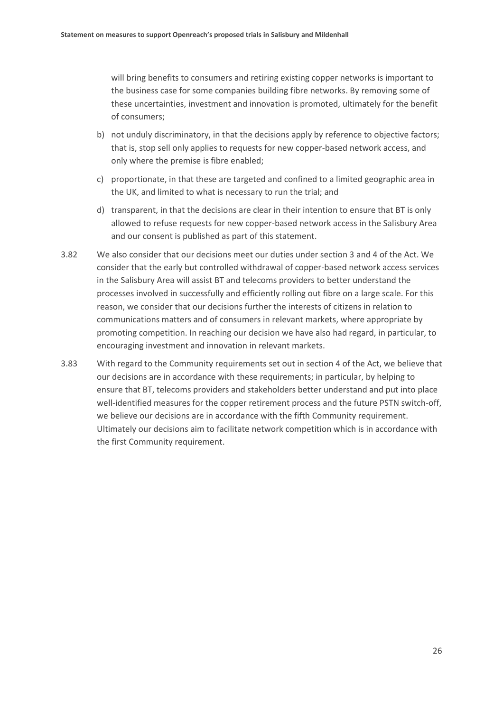will bring benefits to consumers and retiring existing copper networks is important to the business case for some companies building fibre networks. By removing some of these uncertainties, investment and innovation is promoted, ultimately for the benefit of consumers;

- b) not unduly discriminatory, in that the decisions apply by reference to objective factors; that is, stop sell only applies to requests for new copper-based network access, and only where the premise is fibre enabled;
- c) proportionate, in that these are targeted and confined to a limited geographic area in the UK, and limited to what is necessary to run the trial; and
- d) transparent, in that the decisions are clear in their intention to ensure that BT is only allowed to refuse requests for new copper-based network access in the Salisbury Area and our consent is published as part of this statement.
- 3.82 We also consider that our decisions meet our duties under section 3 and 4 of the Act. We consider that the early but controlled withdrawal of copper-based network access services in the Salisbury Area will assist BT and telecoms providers to better understand the processes involved in successfully and efficiently rolling out fibre on a large scale. For this reason, we consider that our decisions further the interests of citizens in relation to communications matters and of consumers in relevant markets, where appropriate by promoting competition. In reaching our decision we have also had regard, in particular, to encouraging investment and innovation in relevant markets.
- 3.83 With regard to the Community requirements set out in section 4 of the Act, we believe that our decisions are in accordance with these requirements; in particular, by helping to ensure that BT, telecoms providers and stakeholders better understand and put into place well-identified measures for the copper retirement process and the future PSTN switch-off, we believe our decisions are in accordance with the fifth Community requirement. Ultimately our decisions aim to facilitate network competition which is in accordance with the first Community requirement.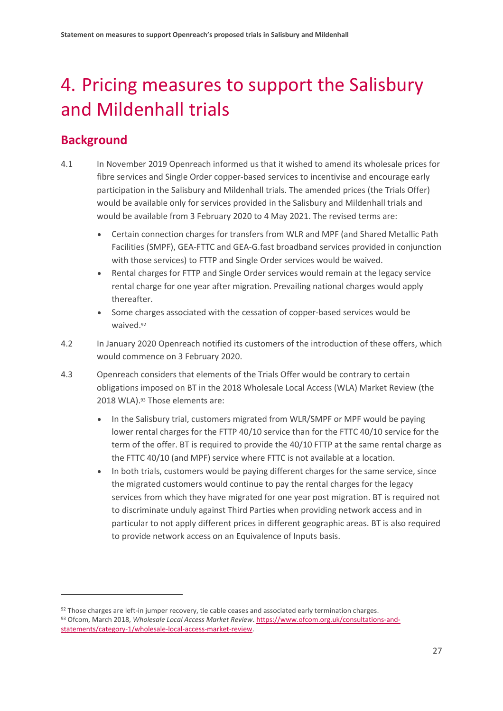# <span id="page-28-0"></span>4. Pricing measures to support the Salisbury and Mildenhall trials

# **Background**

- 4.1 In November 2019 Openreach informed us that it wished to amend its wholesale prices for fibre services and Single Order copper-based services to incentivise and encourage early participation in the Salisbury and Mildenhall trials. The amended prices (the Trials Offer) would be available only for services provided in the Salisbury and Mildenhall trials and would be available from 3 February 2020 to 4 May 2021. The revised terms are:
	- Certain connection charges for transfers from WLR and MPF (and Shared Metallic Path Facilities (SMPF), GEA-FTTC and GEA-G.fast broadband services provided in conjunction with those services) to FTTP and Single Order services would be waived.
	- Rental charges for FTTP and Single Order services would remain at the legacy service rental charge for one year after migration. Prevailing national charges would apply thereafter.
	- Some charges associated with the cessation of copper-based services would be waived.<sup>92</sup>
- 4.2 In January 2020 Openreach notified its customers of the introduction of these offers, which would commence on 3 February 2020.
- 4.3 Openreach considers that elements of the Trials Offer would be contrary to certain obligations imposed on BT in the 2018 Wholesale Local Access (WLA) Market Review (the 2018 WLA). <sup>93</sup> Those elements are:
	- In the Salisbury trial, customers migrated from WLR/SMPF or MPF would be paying lower rental charges for the FTTP 40/10 service than for the FTTC 40/10 service for the term of the offer. BT is required to provide the 40/10 FTTP at the same rental charge as the FTTC 40/10 (and MPF) service where FTTC is not available at a location.
	- In both trials, customers would be paying different charges for the same service, since the migrated customers would continue to pay the rental charges for the legacy services from which they have migrated for one year post migration. BT is required not to discriminate unduly against Third Parties when providing network access and in particular to not apply different prices in different geographic areas. BT is also required to provide network access on an Equivalence of Inputs basis.

<sup>92</sup> Those charges are left-in jumper recovery, tie cable ceases and associated early termination charges. <sup>93</sup> Ofcom, March 2018, *Wholesale Local Access Market Review*[. https://www.ofcom.org.uk/consultations-and](https://www.ofcom.org.uk/consultations-and-statements/category-1/wholesale-local-access-market-review)[statements/category-1/wholesale-local-access-market-review.](https://www.ofcom.org.uk/consultations-and-statements/category-1/wholesale-local-access-market-review)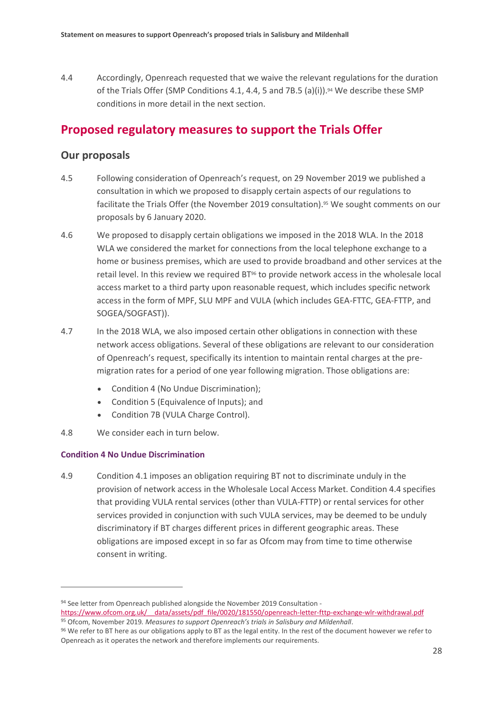4.4 Accordingly, Openreach requested that we waive the relevant regulations for the duration of the Trials Offer (SMP Conditions 4.1, 4.4, 5 and 7B.5 (a)(i)).<sup>94</sup> We describe these SMP conditions in more detail in the next section.

## **Proposed regulatory measures to support the Trials Offer**

### **Our proposals**

- 4.5 Following consideration of Openreach's request, on 29 November 2019 we published a consultation in which we proposed to disapply certain aspects of our regulations to facilitate the Trials Offer (the November 2019 consultation).<sup>95</sup> We sought comments on our proposals by 6 January 2020.
- 4.6 We proposed to disapply certain obligations we imposed in the 2018 WLA. In the 2018 WLA we considered the market for connections from the local telephone exchange to a home or business premises, which are used to provide broadband and other services at the retail level. In this review we required BT<sup>96</sup> to provide network access in the wholesale local access market to a third party upon reasonable request, which includes specific network access in the form of MPF, SLU MPF and VULA (which includes GEA-FTTC, GEA-FTTP, and SOGEA/SOGFAST)).
- 4.7 In the 2018 WLA, we also imposed certain other obligations in connection with these network access obligations. Several of these obligations are relevant to our consideration of Openreach's request, specifically its intention to maintain rental charges at the premigration rates for a period of one year following migration. Those obligations are:
	- Condition 4 (No Undue Discrimination);
	- Condition 5 (Equivalence of Inputs); and
	- Condition 7B (VULA Charge Control).

### 4.8 We consider each in turn below.

### **Condition 4 No Undue Discrimination**

 $\overline{a}$ 

4.9 Condition 4.1 imposes an obligation requiring BT not to discriminate unduly in the provision of network access in the Wholesale Local Access Market. Condition 4.4 specifies that providing VULA rental services (other than VULA-FTTP) or rental services for other services provided in conjunction with such VULA services, may be deemed to be unduly discriminatory if BT charges different prices in different geographic areas. These obligations are imposed except in so far as Ofcom may from time to time otherwise consent in writing.

<sup>94</sup> See letter from Openreach published alongside the November 2019 Consultation [https://www.ofcom.org.uk/\\_\\_data/assets/pdf\\_file/0020/181550/openreach-letter-fttp-exchange-wlr-withdrawal.pdf](https://www.ofcom.org.uk/__data/assets/pdf_file/0020/181550/openreach-letter-fttp-exchange-wlr-withdrawal.pdf) <sup>95</sup> Ofcom, November 2019*. Measures to support Openreach's trials in Salisbury and Mildenhall*.

<sup>96</sup> We refer to BT here as our obligations apply to BT as the legal entity. In the rest of the document however we refer to Openreach as it operates the network and therefore implements our requirements.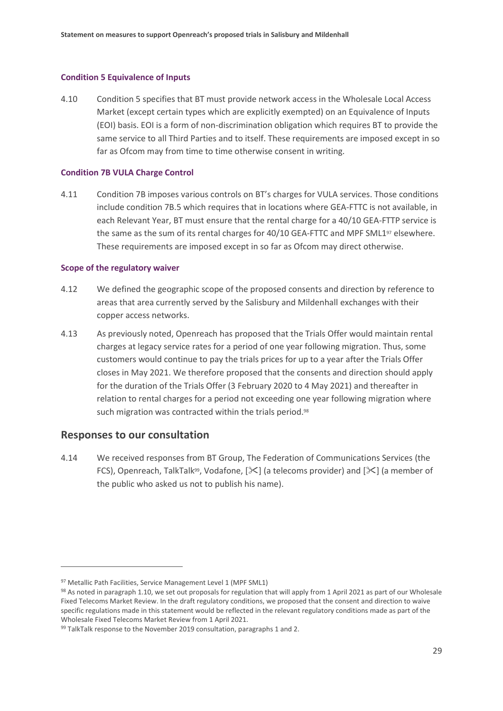### **Condition 5 Equivalence of Inputs**

4.10 Condition 5 specifies that BT must provide network access in the Wholesale Local Access Market (except certain types which are explicitly exempted) on an Equivalence of Inputs (EOI) basis. EOI is a form of non-discrimination obligation which requires BT to provide the same service to all Third Parties and to itself. These requirements are imposed except in so far as Ofcom may from time to time otherwise consent in writing.

### **Condition 7B VULA Charge Control**

4.11 Condition 7B imposes various controls on BT's charges for VULA services. Those conditions include condition 7B.5 which requires that in locations where GEA-FTTC is not available, in each Relevant Year, BT must ensure that the rental charge for a 40/10 GEA-FTTP service is the same as the sum of its rental charges for 40/10 GEA-FTTC and MPF SML1<sup>97</sup> elsewhere. These requirements are imposed except in so far as Ofcom may direct otherwise.

### **Scope of the regulatory waiver**

- 4.12 We defined the geographic scope of the proposed consents and direction by reference to areas that area currently served by the Salisbury and Mildenhall exchanges with their copper access networks.
- 4.13 As previously noted, Openreach has proposed that the Trials Offer would maintain rental charges at legacy service rates for a period of one year following migration. Thus, some customers would continue to pay the trials prices for up to a year after the Trials Offer closes in May 2021. We therefore proposed that the consents and direction should apply for the duration of the Trials Offer (3 February 2020 to 4 May 2021) and thereafter in relation to rental charges for a period not exceeding one year following migration where such migration was contracted within the trials period.<sup>98</sup>

### **Responses to our consultation**

 $\overline{a}$ 

4.14 We received responses from BT Group, The Federation of Communications Services (the FCS), Openreach, TalkTalk<sup>99</sup>, Vodafone,  $[\mathcal{K}]$  (a telecoms provider) and  $[\mathcal{K}]$  (a member of the public who asked us not to publish his name).

<sup>97</sup> Metallic Path Facilities, Service Management Level 1 (MPF SML1)

<sup>98</sup> As noted in paragraph 1.10, we set out proposals for regulation that will apply from 1 April 2021 as part of our Wholesale Fixed Telecoms Market Review. In the draft regulatory conditions, we proposed that the consent and direction to waive specific regulations made in this statement would be reflected in the relevant regulatory conditions made as part of the Wholesale Fixed Telecoms Market Review from 1 April 2021.

 $99$  TalkTalk response to the November 2019 consultation, paragraphs 1 and 2.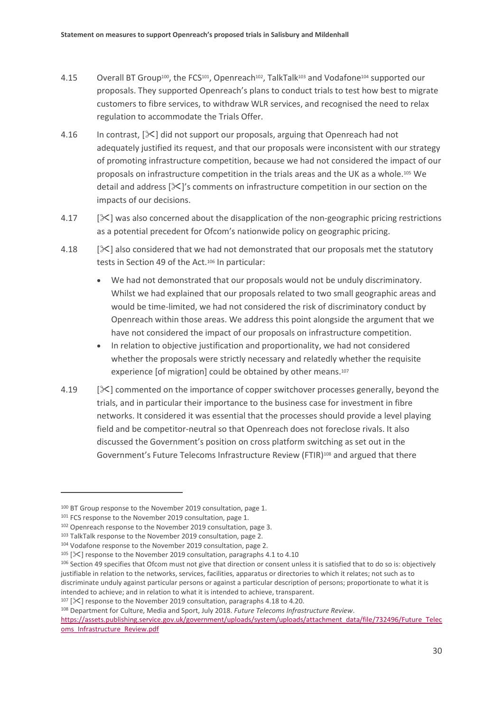- 4.15 Overall BT Group<sup>100</sup>, the FCS<sup>101</sup>, Openreach<sup>102</sup>, TalkTalk<sup>103</sup> and Vodafone<sup>104</sup> supported our proposals. They supported Openreach's plans to conduct trials to test how best to migrate customers to fibre services, to withdraw WLR services, and recognised the need to relax regulation to accommodate the Trials Offer.
- 4.16 In contrast,  $[\&]$  did not support our proposals, arguing that Openreach had not adequately justified its request, and that our proposals were inconsistent with our strategy of promoting infrastructure competition, because we had not considered the impact of our proposals on infrastructure competition in the trials areas and the UK as a whole.<sup>105</sup> We detail and address  $[\frac{1}{5}]'$ s comments on infrastructure competition in our section on the impacts of our decisions.
- 4.17 [ $\angle$ ] was also concerned about the disapplication of the non-geographic pricing restrictions as a potential precedent for Ofcom's nationwide policy on geographic pricing.
- 4.18  $[\&]$  also considered that we had not demonstrated that our proposals met the statutory tests in Section 49 of the Act.<sup>106</sup> In particular:
	- We had not demonstrated that our proposals would not be unduly discriminatory. Whilst we had explained that our proposals related to two small geographic areas and would be time-limited, we had not considered the risk of discriminatory conduct by Openreach within those areas. We address this point alongside the argument that we have not considered the impact of our proposals on infrastructure competition.
	- In relation to objective justification and proportionality, we had not considered whether the proposals were strictly necessary and relatedly whether the requisite experience [of migration] could be obtained by other means.<sup>107</sup>
- 4.19  $[\times]$  commented on the importance of copper switchover processes generally, beyond the trials, and in particular their importance to the business case for investment in fibre networks. It considered it was essential that the processes should provide a level playing field and be competitor-neutral so that Openreach does not foreclose rivals. It also discussed the Government's position on cross platform switching as set out in the Government's Future Telecoms Infrastructure Review (FTIR)<sup>108</sup> and argued that there

 $\overline{a}$ 

 $107$  [ $\ll$ ] response to the November 2019 consultation, paragraphs 4.18 to 4.20.

<sup>108</sup> Department for Culture, Media and Sport, July 2018. *Future Telecoms Infrastructure Review*.

<sup>&</sup>lt;sup>100</sup> BT Group response to the November 2019 consultation, page 1.

<sup>101</sup> FCS response to the November 2019 consultation, page 1.

<sup>102</sup> Openreach response to the November 2019 consultation, page 3.

<sup>103</sup> TalkTalk response to the November 2019 consultation, page 2.

<sup>104</sup> Vodafone response to the November 2019 consultation, page 2.

<sup>&</sup>lt;sup>105</sup> [ $\mathcal{K}$ ] response to the November 2019 consultation, paragraphs 4.1 to 4.10

<sup>106</sup> Section 49 specifies that Ofcom must not give that direction or consent unless it is satisfied that to do so is: objectively justifiable in relation to the networks, services, facilities, apparatus or directories to which it relates; not such as to discriminate unduly against particular persons or against a particular description of persons; proportionate to what it is intended to achieve; and in relation to what it is intended to achieve, transparent.

[https://assets.publishing.service.gov.uk/government/uploads/system/uploads/attachment\\_data/file/732496/Future\\_Telec](https://assets.publishing.service.gov.uk/government/uploads/system/uploads/attachment_data/file/732496/Future_Telecoms_Infrastructure_Review.pdf) [oms\\_Infrastructure\\_Review.pdf](https://assets.publishing.service.gov.uk/government/uploads/system/uploads/attachment_data/file/732496/Future_Telecoms_Infrastructure_Review.pdf)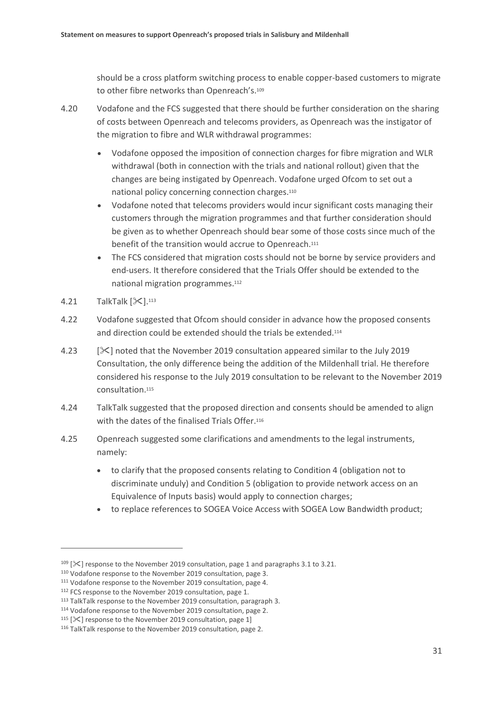should be a cross platform switching process to enable copper-based customers to migrate to other fibre networks than Openreach's.<sup>109</sup>

- 4.20 Vodafone and the FCS suggested that there should be further consideration on the sharing of costs between Openreach and telecoms providers, as Openreach was the instigator of the migration to fibre and WLR withdrawal programmes:
	- Vodafone opposed the imposition of connection charges for fibre migration and WLR withdrawal (both in connection with the trials and national rollout) given that the changes are being instigated by Openreach. Vodafone urged Ofcom to set out a national policy concerning connection charges.<sup>110</sup>
	- Vodafone noted that telecoms providers would incur significant costs managing their customers through the migration programmes and that further consideration should be given as to whether Openreach should bear some of those costs since much of the benefit of the transition would accrue to Openreach.<sup>111</sup>
	- The FCS considered that migration costs should not be borne by service providers and end-users. It therefore considered that the Trials Offer should be extended to the national migration programmes. 112
- $4.21$  TalkTalk  $[\mathcal{K}]$ .<sup>113</sup>

- 4.22 Vodafone suggested that Ofcom should consider in advance how the proposed consents and direction could be extended should the trials be extended.<sup>114</sup>
- 4.23 [] noted that the November 2019 consultation appeared similar to the July 2019 Consultation, the only difference being the addition of the Mildenhall trial. He therefore considered his response to the July 2019 consultation to be relevant to the November 2019 consultation.<sup>115</sup>
- 4.24 TalkTalk suggested that the proposed direction and consents should be amended to align with the dates of the finalised Trials Offer.<sup>116</sup>
- 4.25 Openreach suggested some clarifications and amendments to the legal instruments, namely:
	- to clarify that the proposed consents relating to Condition 4 (obligation not to discriminate unduly) and Condition 5 (obligation to provide network access on an Equivalence of Inputs basis) would apply to connection charges;
	- to replace references to SOGEA Voice Access with SOGEA Low Bandwidth product;

 $109$  [ $\times$ ] response to the November 2019 consultation, page 1 and paragraphs 3.1 to 3.21.

<sup>110</sup> Vodafone response to the November 2019 consultation, page 3.

<sup>111</sup> Vodafone response to the November 2019 consultation, page 4.

<sup>&</sup>lt;sup>112</sup> FCS response to the November 2019 consultation, page 1.

<sup>113</sup> TalkTalk response to the November 2019 consultation, paragraph 3.

<sup>114</sup> Vodafone response to the November 2019 consultation, page 2.

 $115$  [ $\mathsf{\times}$ ] response to the November 2019 consultation, page 1]

<sup>116</sup> TalkTalk response to the November 2019 consultation, page 2.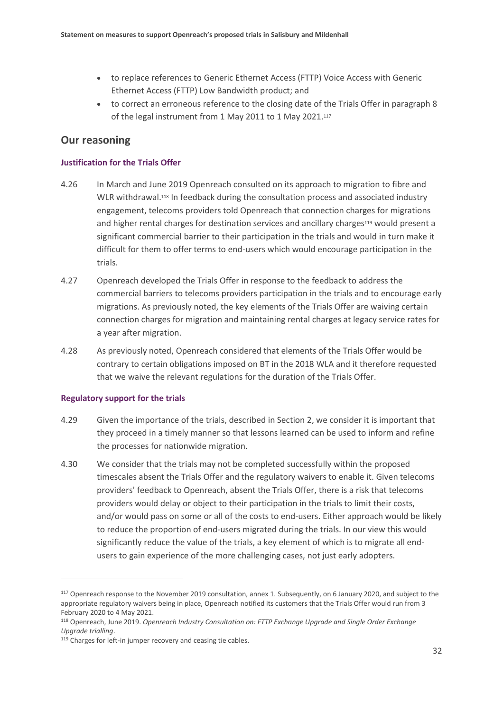- to replace references to Generic Ethernet Access (FTTP) Voice Access with Generic Ethernet Access (FTTP) Low Bandwidth product; and
- to correct an erroneous reference to the closing date of the Trials Offer in paragraph 8 of the legal instrument from 1 May 2011 to 1 May 2021.<sup>117</sup>

### **Our reasoning**

### **Justification for the Trials Offer**

- 4.26 In March and June 2019 Openreach consulted on its approach to migration to fibre and WLR withdrawal.<sup>118</sup> In feedback during the consultation process and associated industry engagement, telecoms providers told Openreach that connection charges for migrations and higher rental charges for destination services and ancillary charges<sup>119</sup> would present a significant commercial barrier to their participation in the trials and would in turn make it difficult for them to offer terms to end-users which would encourage participation in the trials.
- 4.27 Openreach developed the Trials Offer in response to the feedback to address the commercial barriers to telecoms providers participation in the trials and to encourage early migrations. As previously noted, the key elements of the Trials Offer are waiving certain connection charges for migration and maintaining rental charges at legacy service rates for a year after migration.
- 4.28 As previously noted, Openreach considered that elements of the Trials Offer would be contrary to certain obligations imposed on BT in the 2018 WLA and it therefore requested that we waive the relevant regulations for the duration of the Trials Offer.

### **Regulatory support for the trials**

- 4.29 Given the importance of the trials, described in Section 2, we consider it is important that they proceed in a timely manner so that lessons learned can be used to inform and refine the processes for nationwide migration.
- 4.30 We consider that the trials may not be completed successfully within the proposed timescales absent the Trials Offer and the regulatory waivers to enable it. Given telecoms providers' feedback to Openreach, absent the Trials Offer, there is a risk that telecoms providers would delay or object to their participation in the trials to limit their costs, and/or would pass on some or all of the costs to end-users. Either approach would be likely to reduce the proportion of end-users migrated during the trials. In our view this would significantly reduce the value of the trials, a key element of which is to migrate all endusers to gain experience of the more challenging cases, not just early adopters.

<sup>117</sup> Openreach response to the November 2019 consultation, annex 1. Subsequently, on 6 January 2020, and subject to the appropriate regulatory waivers being in place, Openreach notified its customers that the Trials Offer would run from 3 February 2020 to 4 May 2021.

<sup>118</sup> Openreach, June 2019. *Openreach Industry Consultation on: FTTP Exchange Upgrade and Single Order Exchange Upgrade trialling*.

<sup>&</sup>lt;sup>119</sup> Charges for left-in jumper recovery and ceasing tie cables.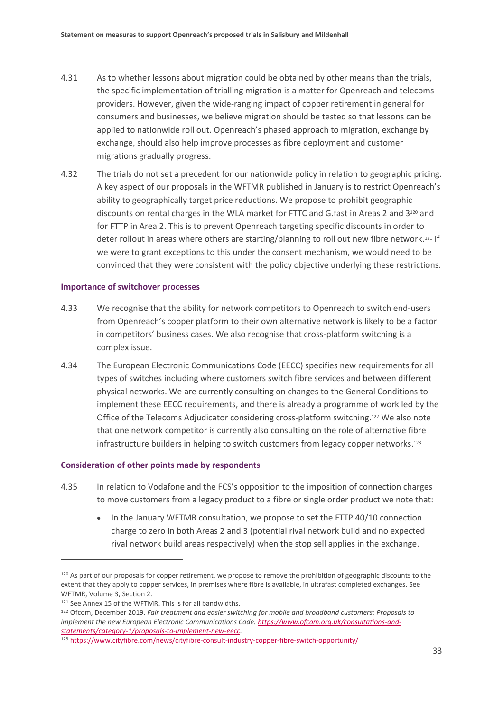- 4.31 As to whether lessons about migration could be obtained by other means than the trials, the specific implementation of trialling migration is a matter for Openreach and telecoms providers. However, given the wide-ranging impact of copper retirement in general for consumers and businesses, we believe migration should be tested so that lessons can be applied to nationwide roll out. Openreach's phased approach to migration, exchange by exchange, should also help improve processes as fibre deployment and customer migrations gradually progress.
- 4.32 The trials do not set a precedent for our nationwide policy in relation to geographic pricing. A key aspect of our proposals in the WFTMR published in January is to restrict Openreach's ability to geographically target price reductions. We propose to prohibit geographic discounts on rental charges in the WLA market for FTTC and G.fast in Areas 2 and 3<sup>120</sup> and for FTTP in Area 2. This is to prevent Openreach targeting specific discounts in order to deter rollout in areas where others are starting/planning to roll out new fibre network. <sup>121</sup> If we were to grant exceptions to this under the consent mechanism, we would need to be convinced that they were consistent with the policy objective underlying these restrictions.

#### **Importance of switchover processes**

- 4.33 We recognise that the ability for network competitors to Openreach to switch end-users from Openreach's copper platform to their own alternative network is likely to be a factor in competitors' business cases. We also recognise that cross-platform switching is a complex issue.
- 4.34 The European Electronic Communications Code (EECC) specifies new requirements for all types of switches including where customers switch fibre services and between different physical networks. We are currently consulting on changes to the General Conditions to implement these EECC requirements, and there is already a programme of work led by the Office of the Telecoms Adjudicator considering cross-platform switching.<sup>122</sup> We also note that one network competitor is currently also consulting on the role of alternative fibre infrastructure builders in helping to switch customers from legacy copper networks. 123

### **Consideration of other points made by respondents**

- 4.35 In relation to Vodafone and the FCS's opposition to the imposition of connection charges to move customers from a legacy product to a fibre or single order product we note that:
	- In the January WFTMR consultation, we propose to set the FTTP 40/10 connection charge to zero in both Areas 2 and 3 (potential rival network build and no expected rival network build areas respectively) when the stop sell applies in the exchange.

<sup>&</sup>lt;sup>120</sup> As part of our proposals for copper retirement, we propose to remove the prohibition of geographic discounts to the extent that they apply to copper services, in premises where fibre is available, in ultrafast completed exchanges. See WFTMR, Volume 3, Section 2.

<sup>121</sup> See Annex 15 of the WFTMR. This is for all bandwidths.

<sup>122</sup> Ofcom, December 2019. *Fair treatment and easier switching for mobile and broadband customers: Proposals to implement the new European Electronic Communications Code. [https://www.ofcom.org.uk/consultations-and](https://www.ofcom.org.uk/consultations-and-statements/category-1/proposals-to-implement-new-eecc)[statements/category-1/proposals-to-implement-new-eecc.](https://www.ofcom.org.uk/consultations-and-statements/category-1/proposals-to-implement-new-eecc)*

<sup>123</sup> <https://www.cityfibre.com/news/cityfibre-consult-industry-copper-fibre-switch-opportunity/>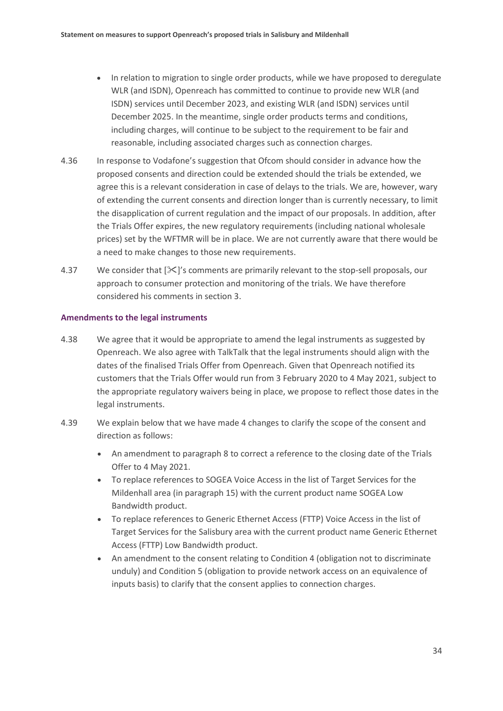- In relation to migration to single order products, while we have proposed to deregulate WLR (and ISDN), Openreach has committed to continue to provide new WLR (and ISDN) services until December 2023, and existing WLR (and ISDN) services until December 2025. In the meantime, single order products terms and conditions, including charges, will continue to be subject to the requirement to be fair and reasonable, including associated charges such as connection charges.
- 4.36 In response to Vodafone's suggestion that Ofcom should consider in advance how the proposed consents and direction could be extended should the trials be extended, we agree this is a relevant consideration in case of delays to the trials. We are, however, wary of extending the current consents and direction longer than is currently necessary, to limit the disapplication of current regulation and the impact of our proposals. In addition, after the Trials Offer expires, the new regulatory requirements (including national wholesale prices) set by the WFTMR will be in place. We are not currently aware that there would be a need to make changes to those new requirements.
- 4.37 We consider that  $[\&]$ 's comments are primarily relevant to the stop-sell proposals, our approach to consumer protection and monitoring of the trials. We have therefore considered his comments in section 3.

### **Amendments to the legal instruments**

- 4.38 We agree that it would be appropriate to amend the legal instruments as suggested by Openreach. We also agree with TalkTalk that the legal instruments should align with the dates of the finalised Trials Offer from Openreach. Given that Openreach notified its customers that the Trials Offer would run from 3 February 2020 to 4 May 2021, subject to the appropriate regulatory waivers being in place, we propose to reflect those dates in the legal instruments.
- 4.39 We explain below that we have made 4 changes to clarify the scope of the consent and direction as follows:
	- An amendment to paragraph 8 to correct a reference to the closing date of the Trials Offer to 4 May 2021.
	- To replace references to SOGEA Voice Access in the list of Target Services for the Mildenhall area (in paragraph 15) with the current product name SOGEA Low Bandwidth product.
	- To replace references to Generic Ethernet Access (FTTP) Voice Access in the list of Target Services for the Salisbury area with the current product name Generic Ethernet Access (FTTP) Low Bandwidth product.
	- An amendment to the consent relating to Condition 4 (obligation not to discriminate unduly) and Condition 5 (obligation to provide network access on an equivalence of inputs basis) to clarify that the consent applies to connection charges.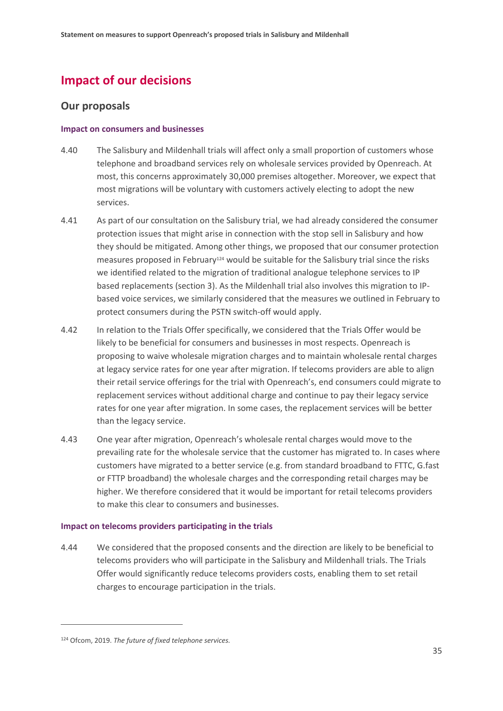# **Impact of our decisions**

## **Our proposals**

### **Impact on consumers and businesses**

- 4.40 The Salisbury and Mildenhall trials will affect only a small proportion of customers whose telephone and broadband services rely on wholesale services provided by Openreach. At most, this concerns approximately 30,000 premises altogether. Moreover, we expect that most migrations will be voluntary with customers actively electing to adopt the new services.
- 4.41 As part of our consultation on the Salisbury trial, we had already considered the consumer protection issues that might arise in connection with the stop sell in Salisbury and how they should be mitigated. Among other things, we proposed that our consumer protection measures proposed in February<sup>124</sup> would be suitable for the Salisbury trial since the risks we identified related to the migration of traditional analogue telephone services to IP based replacements (section 3). As the Mildenhall trial also involves this migration to IPbased voice services, we similarly considered that the measures we outlined in February to protect consumers during the PSTN switch-off would apply.
- 4.42 In relation to the Trials Offer specifically, we considered that the Trials Offer would be likely to be beneficial for consumers and businesses in most respects. Openreach is proposing to waive wholesale migration charges and to maintain wholesale rental charges at legacy service rates for one year after migration. If telecoms providers are able to align their retail service offerings for the trial with Openreach's, end consumers could migrate to replacement services without additional charge and continue to pay their legacy service rates for one year after migration. In some cases, the replacement services will be better than the legacy service.
- 4.43 One year after migration, Openreach's wholesale rental charges would move to the prevailing rate for the wholesale service that the customer has migrated to. In cases where customers have migrated to a better service (e.g. from standard broadband to FTTC, G.fast or FTTP broadband) the wholesale charges and the corresponding retail charges may be higher. We therefore considered that it would be important for retail telecoms providers to make this clear to consumers and businesses.

### **Impact on telecoms providers participating in the trials**

4.44 We considered that the proposed consents and the direction are likely to be beneficial to telecoms providers who will participate in the Salisbury and Mildenhall trials. The Trials Offer would significantly reduce telecoms providers costs, enabling them to set retail charges to encourage participation in the trials.

<sup>124</sup> Ofcom, 2019. *The future of fixed telephone services.*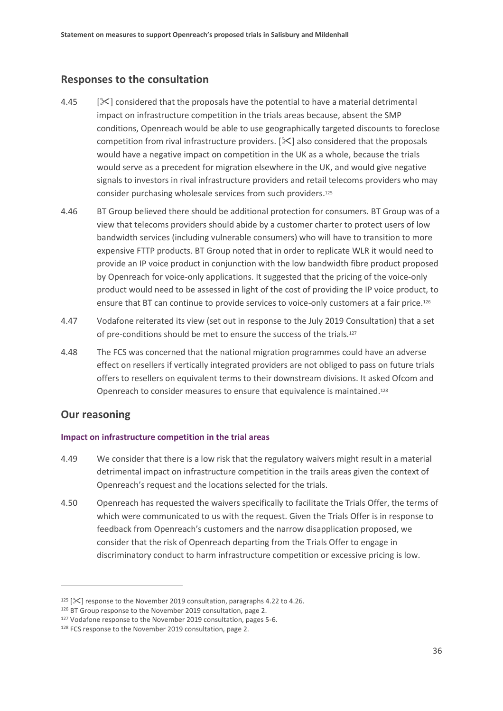## **Responses to the consultation**

- 4.45  $[\times]$  considered that the proposals have the potential to have a material detrimental impact on infrastructure competition in the trials areas because, absent the SMP conditions, Openreach would be able to use geographically targeted discounts to foreclose competition from rival infrastructure providers.  $[\<]$  also considered that the proposals would have a negative impact on competition in the UK as a whole, because the trials would serve as a precedent for migration elsewhere in the UK, and would give negative signals to investors in rival infrastructure providers and retail telecoms providers who may consider purchasing wholesale services from such providers.<sup>125</sup>
- 4.46 BT Group believed there should be additional protection for consumers. BT Group was of a view that telecoms providers should abide by a customer charter to protect users of low bandwidth services (including vulnerable consumers) who will have to transition to more expensive FTTP products. BT Group noted that in order to replicate WLR it would need to provide an IP voice product in conjunction with the low bandwidth fibre product proposed by Openreach for voice-only applications. It suggested that the pricing of the voice-only product would need to be assessed in light of the cost of providing the IP voice product, to ensure that BT can continue to provide services to voice-only customers at a fair price.<sup>126</sup>
- 4.47 Vodafone reiterated its view (set out in response to the July 2019 Consultation) that a set of pre-conditions should be met to ensure the success of the trials.<sup>127</sup>
- 4.48 The FCS was concerned that the national migration programmes could have an adverse effect on resellers if vertically integrated providers are not obliged to pass on future trials offers to resellers on equivalent terms to their downstream divisions. It asked Ofcom and Openreach to consider measures to ensure that equivalence is maintained.<sup>128</sup>

### **Our reasoning**

 $\overline{a}$ 

### **Impact on infrastructure competition in the trial areas**

- 4.49 We consider that there is a low risk that the regulatory waivers might result in a material detrimental impact on infrastructure competition in the trails areas given the context of Openreach's request and the locations selected for the trials.
- 4.50 Openreach has requested the waivers specifically to facilitate the Trials Offer, the terms of which were communicated to us with the request. Given the Trials Offer is in response to feedback from Openreach's customers and the narrow disapplication proposed, we consider that the risk of Openreach departing from the Trials Offer to engage in discriminatory conduct to harm infrastructure competition or excessive pricing is low.

<sup>&</sup>lt;sup>125</sup> [ $\mathcal{K}$ ] response to the November 2019 consultation, paragraphs 4.22 to 4.26.

<sup>126</sup> BT Group response to the November 2019 consultation, page 2.

<sup>127</sup> Vodafone response to the November 2019 consultation, pages 5-6.

<sup>128</sup> FCS response to the November 2019 consultation, page 2.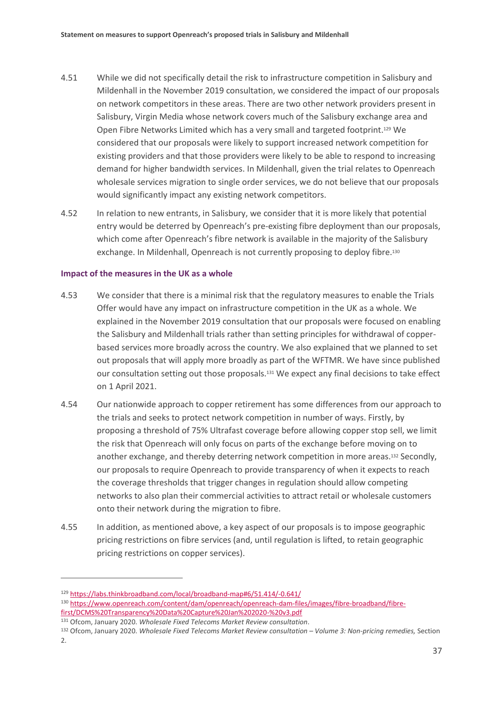- 4.51 While we did not specifically detail the risk to infrastructure competition in Salisbury and Mildenhall in the November 2019 consultation, we considered the impact of our proposals on network competitors in these areas. There are two other network providers present in Salisbury, Virgin Media whose network covers much of the Salisbury exchange area and Open Fibre Networks Limited which has a very small and targeted footprint. <sup>129</sup> We considered that our proposals were likely to support increased network competition for existing providers and that those providers were likely to be able to respond to increasing demand for higher bandwidth services. In Mildenhall, given the trial relates to Openreach wholesale services migration to single order services, we do not believe that our proposals would significantly impact any existing network competitors.
- 4.52 In relation to new entrants, in Salisbury, we consider that it is more likely that potential entry would be deterred by Openreach's pre-existing fibre deployment than our proposals, which come after Openreach's fibre network is available in the majority of the Salisbury exchange. In Mildenhall, Openreach is not currently proposing to deploy fibre. 130

### **Impact of the measures in the UK as a whole**

- 4.53 We consider that there is a minimal risk that the regulatory measures to enable the Trials Offer would have any impact on infrastructure competition in the UK as a whole. We explained in the November 2019 consultation that our proposals were focused on enabling the Salisbury and Mildenhall trials rather than setting principles for withdrawal of copperbased services more broadly across the country. We also explained that we planned to set out proposals that will apply more broadly as part of the WFTMR. We have since published our consultation setting out those proposals.<sup>131</sup> We expect any final decisions to take effect on 1 April 2021.
- 4.54 Our nationwide approach to copper retirement has some differences from our approach to the trials and seeks to protect network competition in number of ways. Firstly, by proposing a threshold of 75% Ultrafast coverage before allowing copper stop sell, we limit the risk that Openreach will only focus on parts of the exchange before moving on to another exchange, and thereby deterring network competition in more areas. <sup>132</sup> Secondly, our proposals to require Openreach to provide transparency of when it expects to reach the coverage thresholds that trigger changes in regulation should allow competing networks to also plan their commercial activities to attract retail or wholesale customers onto their network during the migration to fibre.
- 4.55 In addition, as mentioned above, a key aspect of our proposals is to impose geographic pricing restrictions on fibre services (and, until regulation is lifted, to retain geographic pricing restrictions on copper services).

2.

<sup>129</sup> <https://labs.thinkbroadband.com/local/broadband-map#6/51.414/-0.641/>

<sup>130</sup> [https://www.openreach.com/content/dam/openreach/openreach-dam-files/images/fibre-broadband/fibre](https://www.openreach.com/content/dam/openreach/openreach-dam-files/images/fibre-broadband/fibre-first/DCMS%20Transparency%20Data%20Capture%20Jan%202020-%20v3.pdf)[first/DCMS%20Transparency%20Data%20Capture%20Jan%202020-%20v3.pdf](https://www.openreach.com/content/dam/openreach/openreach-dam-files/images/fibre-broadband/fibre-first/DCMS%20Transparency%20Data%20Capture%20Jan%202020-%20v3.pdf)

<sup>131</sup> Ofcom, January 2020. *Wholesale Fixed Telecoms Market Review consultation*.

<sup>132</sup> Ofcom, January 2020. Wholesale Fixed Telecoms Market Review consultation - Volume 3: Non-pricing remedies, Section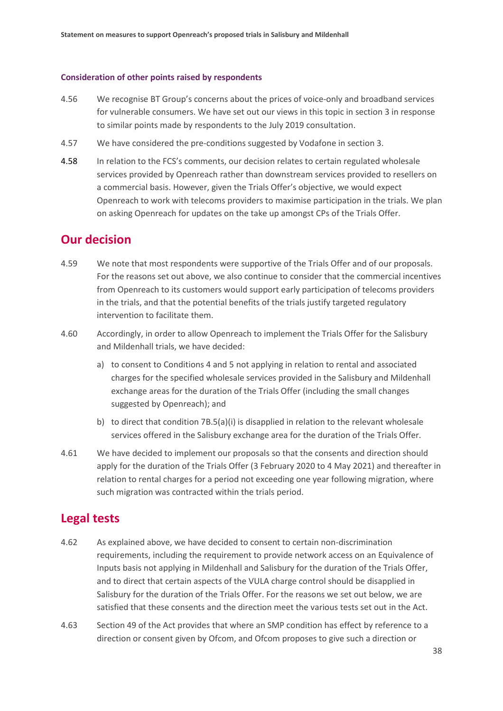### **Consideration of other points raised by respondents**

- 4.56 We recognise BT Group's concerns about the prices of voice-only and broadband services for vulnerable consumers. We have set out our views in this topic in section 3 in response to similar points made by respondents to the July 2019 consultation.
- 4.57 We have considered the pre-conditions suggested by Vodafone in section 3.
- 4.58 In relation to the FCS's comments, our decision relates to certain regulated wholesale services provided by Openreach rather than downstream services provided to resellers on a commercial basis. However, given the Trials Offer's objective, we would expect Openreach to work with telecoms providers to maximise participation in the trials. We plan on asking Openreach for updates on the take up amongst CPs of the Trials Offer.

## **Our decision**

- 4.59 We note that most respondents were supportive of the Trials Offer and of our proposals. For the reasons set out above, we also continue to consider that the commercial incentives from Openreach to its customers would support early participation of telecoms providers in the trials, and that the potential benefits of the trials justify targeted regulatory intervention to facilitate them.
- 4.60 Accordingly, in order to allow Openreach to implement the Trials Offer for the Salisbury and Mildenhall trials, we have decided:
	- a) to consent to Conditions 4 and 5 not applying in relation to rental and associated charges for the specified wholesale services provided in the Salisbury and Mildenhall exchange areas for the duration of the Trials Offer (including the small changes suggested by Openreach); and
	- b) to direct that condition 7B.5(a)(i) is disapplied in relation to the relevant wholesale services offered in the Salisbury exchange area for the duration of the Trials Offer.
- 4.61 We have decided to implement our proposals so that the consents and direction should apply for the duration of the Trials Offer (3 February 2020 to 4 May 2021) and thereafter in relation to rental charges for a period not exceeding one year following migration, where such migration was contracted within the trials period.

## **Legal tests**

- 4.62 As explained above, we have decided to consent to certain non-discrimination requirements, including the requirement to provide network access on an Equivalence of Inputs basis not applying in Mildenhall and Salisbury for the duration of the Trials Offer, and to direct that certain aspects of the VULA charge control should be disapplied in Salisbury for the duration of the Trials Offer. For the reasons we set out below, we are satisfied that these consents and the direction meet the various tests set out in the Act.
- 4.63 Section 49 of the Act provides that where an SMP condition has effect by reference to a direction or consent given by Ofcom, and Ofcom proposes to give such a direction or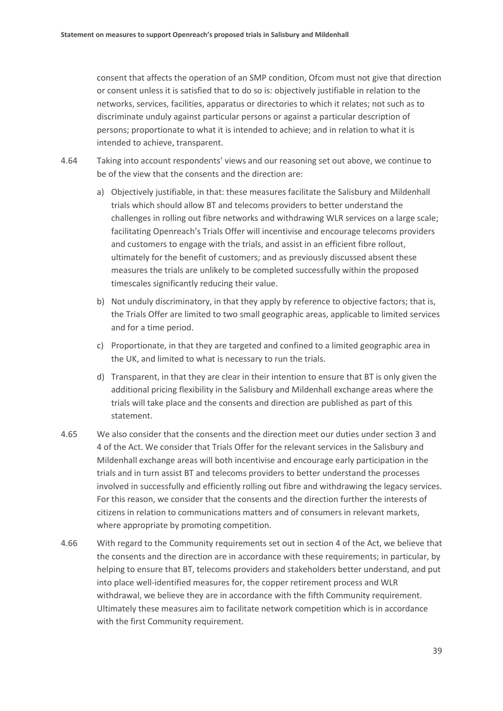consent that affects the operation of an SMP condition, Ofcom must not give that direction or consent unless it is satisfied that to do so is: objectively justifiable in relation to the networks, services, facilities, apparatus or directories to which it relates; not such as to discriminate unduly against particular persons or against a particular description of persons; proportionate to what it is intended to achieve; and in relation to what it is intended to achieve, transparent.

- 4.64 Taking into account respondents' views and our reasoning set out above, we continue to be of the view that the consents and the direction are:
	- a) Objectively justifiable, in that: these measures facilitate the Salisbury and Mildenhall trials which should allow BT and telecoms providers to better understand the challenges in rolling out fibre networks and withdrawing WLR services on a large scale; facilitating Openreach's Trials Offer will incentivise and encourage telecoms providers and customers to engage with the trials, and assist in an efficient fibre rollout, ultimately for the benefit of customers; and as previously discussed absent these measures the trials are unlikely to be completed successfully within the proposed timescales significantly reducing their value.
	- b) Not unduly discriminatory, in that they apply by reference to objective factors; that is, the Trials Offer are limited to two small geographic areas, applicable to limited services and for a time period.
	- c) Proportionate, in that they are targeted and confined to a limited geographic area in the UK, and limited to what is necessary to run the trials.
	- d) Transparent, in that they are clear in their intention to ensure that BT is only given the additional pricing flexibility in the Salisbury and Mildenhall exchange areas where the trials will take place and the consents and direction are published as part of this statement.
- 4.65 We also consider that the consents and the direction meet our duties under section 3 and 4 of the Act. We consider that Trials Offer for the relevant services in the Salisbury and Mildenhall exchange areas will both incentivise and encourage early participation in the trials and in turn assist BT and telecoms providers to better understand the processes involved in successfully and efficiently rolling out fibre and withdrawing the legacy services. For this reason, we consider that the consents and the direction further the interests of citizens in relation to communications matters and of consumers in relevant markets, where appropriate by promoting competition.
- 4.66 With regard to the Community requirements set out in section 4 of the Act, we believe that the consents and the direction are in accordance with these requirements; in particular, by helping to ensure that BT, telecoms providers and stakeholders better understand, and put into place well-identified measures for, the copper retirement process and WLR withdrawal, we believe they are in accordance with the fifth Community requirement. Ultimately these measures aim to facilitate network competition which is in accordance with the first Community requirement.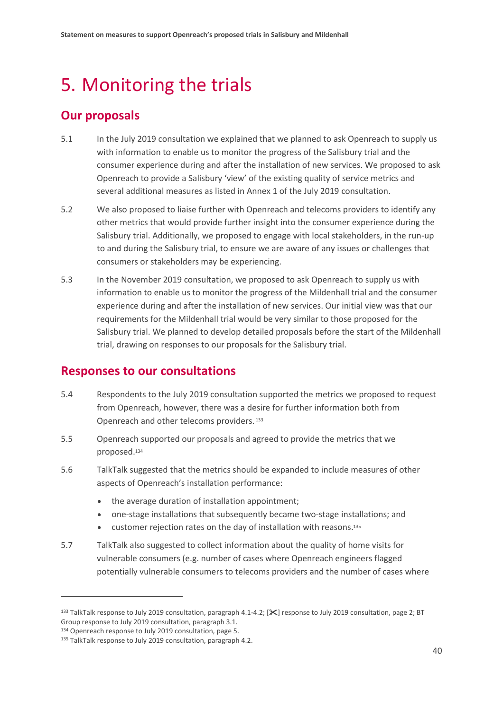# <span id="page-41-0"></span>5. Monitoring the trials

# **Our proposals**

- 5.1 In the July 2019 consultation we explained that we planned to ask Openreach to supply us with information to enable us to monitor the progress of the Salisbury trial and the consumer experience during and after the installation of new services. We proposed to ask Openreach to provide a Salisbury 'view' of the existing quality of service metrics and several additional measures as listed in Annex 1 of the July 2019 consultation.
- 5.2 We also proposed to liaise further with Openreach and telecoms providers to identify any other metrics that would provide further insight into the consumer experience during the Salisbury trial. Additionally, we proposed to engage with local stakeholders, in the run-up to and during the Salisbury trial, to ensure we are aware of any issues or challenges that consumers or stakeholders may be experiencing.
- 5.3 In the November 2019 consultation, we proposed to ask Openreach to supply us with information to enable us to monitor the progress of the Mildenhall trial and the consumer experience during and after the installation of new services. Our initial view was that our requirements for the Mildenhall trial would be very similar to those proposed for the Salisbury trial. We planned to develop detailed proposals before the start of the Mildenhall trial, drawing on responses to our proposals for the Salisbury trial.

# **Responses to our consultations**

- 5.4 Respondents to the July 2019 consultation supported the metrics we proposed to request from Openreach, however, there was a desire for further information both from Openreach and other telecoms providers.<sup>133</sup>
- 5.5 Openreach supported our proposals and agreed to provide the metrics that we proposed.<sup>134</sup>
- 5.6 TalkTalk suggested that the metrics should be expanded to include measures of other aspects of Openreach's installation performance:
	- the average duration of installation appointment;
	- one-stage installations that subsequently became two-stage installations; and
	- customer rejection rates on the day of installation with reasons.<sup>135</sup>
- 5.7 TalkTalk also suggested to collect information about the quality of home visits for vulnerable consumers (e.g. number of cases where Openreach engineers flagged potentially vulnerable consumers to telecoms providers and the number of cases where

<sup>&</sup>lt;sup>133</sup> TalkTalk response to July 2019 consultation, paragraph 4.1-4.2; [ $\mathcal{K}$ ] response to July 2019 consultation, page 2; BT Group response to July 2019 consultation, paragraph 3.1.

<sup>134</sup> Openreach response to July 2019 consultation, page 5.

<sup>135</sup> TalkTalk response to July 2019 consultation, paragraph 4.2.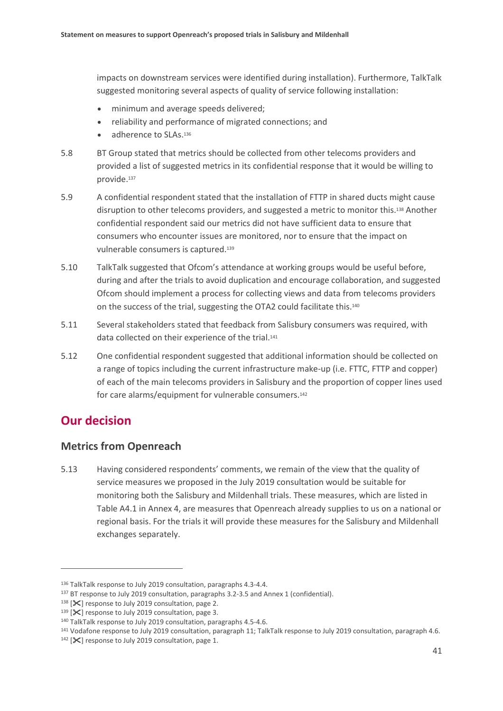impacts on downstream services were identified during installation). Furthermore, TalkTalk suggested monitoring several aspects of quality of service following installation:

- minimum and average speeds delivered;
- reliability and performance of migrated connections; and
- adherence to SLAs.<sup>136</sup>
- 5.8 BT Group stated that metrics should be collected from other telecoms providers and provided a list of suggested metrics in its confidential response that it would be willing to provide.<sup>137</sup>
- 5.9 A confidential respondent stated that the installation of FTTP in shared ducts might cause disruption to other telecoms providers, and suggested a metric to monitor this.<sup>138</sup> Another confidential respondent said our metrics did not have sufficient data to ensure that consumers who encounter issues are monitored, nor to ensure that the impact on vulnerable consumers is captured.<sup>139</sup>
- 5.10 TalkTalk suggested that Ofcom's attendance at working groups would be useful before, during and after the trials to avoid duplication and encourage collaboration, and suggested Ofcom should implement a process for collecting views and data from telecoms providers on the success of the trial, suggesting the OTA2 could facilitate this. 140
- 5.11 Several stakeholders stated that feedback from Salisbury consumers was required, with data collected on their experience of the trial.<sup>141</sup>
- 5.12 One confidential respondent suggested that additional information should be collected on a range of topics including the current infrastructure make-up (i.e. FTTC, FTTP and copper) of each of the main telecoms providers in Salisbury and the proportion of copper lines used for care alarms/equipment for vulnerable consumers.<sup>142</sup>

# **Our decision**

 $\overline{a}$ 

## **Metrics from Openreach**

5.13 Having considered respondents' comments, we remain of the view that the quality of service measures we proposed in the July 2019 consultation would be suitable for monitoring both the Salisbury and Mildenhall trials. These measures, which are listed in Table A4.1 in Annex 4, are measures that Openreach already supplies to us on a national or regional basis. For the trials it will provide these measures for the Salisbury and Mildenhall exchanges separately.

<sup>136</sup> TalkTalk response to July 2019 consultation, paragraphs 4.3-4.4.

<sup>137</sup> BT response to July 2019 consultation, paragraphs 3.2-3.5 and Annex 1 (confidential).

 $138$  [ $\mathsf{\times}$ ] response to July 2019 consultation, page 2.

<sup>139 [</sup>X] response to July 2019 consultation, page 3.

<sup>140</sup> TalkTalk response to July 2019 consultation, paragraphs 4.5-4.6.

<sup>141</sup> Vodafone response to July 2019 consultation, paragraph 11; TalkTalk response to July 2019 consultation, paragraph 4.6.

 $142$  [ $\mathsf{\times}$ ] response to July 2019 consultation, page 1.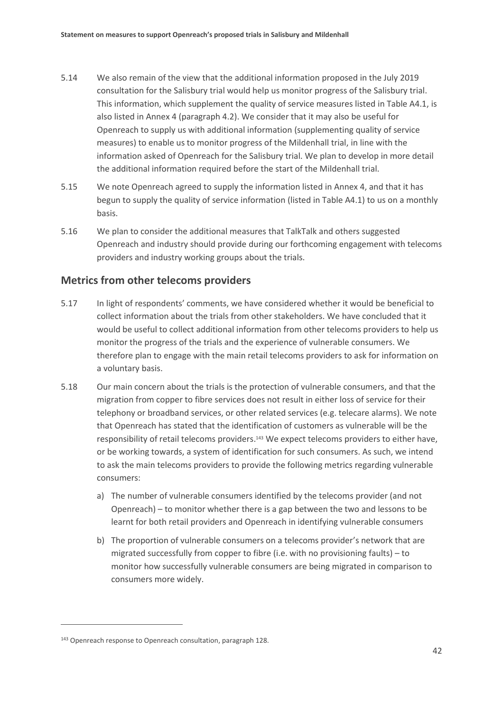- 5.14 We also remain of the view that the additional information proposed in the July 2019 consultation for the Salisbury trial would help us monitor progress of the Salisbury trial. This information, which supplement the quality of service measures listed in Table A4.1, is also listed in Annex 4 (paragraph 4.2). We consider that it may also be useful for Openreach to supply us with additional information (supplementing quality of service measures) to enable us to monitor progress of the Mildenhall trial, in line with the information asked of Openreach for the Salisbury trial. We plan to develop in more detail the additional information required before the start of the Mildenhall trial.
- 5.15 We note Openreach agreed to supply the information listed in Annex 4, and that it has begun to supply the quality of service information (listed in Table A4.1) to us on a monthly basis.
- 5.16 We plan to consider the additional measures that TalkTalk and others suggested Openreach and industry should provide during our forthcoming engagement with telecoms providers and industry working groups about the trials.

## **Metrics from other telecoms providers**

- 5.17 In light of respondents' comments, we have considered whether it would be beneficial to collect information about the trials from other stakeholders. We have concluded that it would be useful to collect additional information from other telecoms providers to help us monitor the progress of the trials and the experience of vulnerable consumers. We therefore plan to engage with the main retail telecoms providers to ask for information on a voluntary basis.
- 5.18 Our main concern about the trials is the protection of vulnerable consumers, and that the migration from copper to fibre services does not result in either loss of service for their telephony or broadband services, or other related services (e.g. telecare alarms). We note that Openreach has stated that the identification of customers as vulnerable will be the responsibility of retail telecoms providers. <sup>143</sup> We expect telecoms providers to either have, or be working towards, a system of identification for such consumers. As such, we intend to ask the main telecoms providers to provide the following metrics regarding vulnerable consumers:
	- a) The number of vulnerable consumers identified by the telecoms provider (and not Openreach) – to monitor whether there is a gap between the two and lessons to be learnt for both retail providers and Openreach in identifying vulnerable consumers
	- b) The proportion of vulnerable consumers on a telecoms provider's network that are migrated successfully from copper to fibre (i.e. with no provisioning faults) – to monitor how successfully vulnerable consumers are being migrated in comparison to consumers more widely.

<sup>143</sup> Openreach response to Openreach consultation, paragraph 128.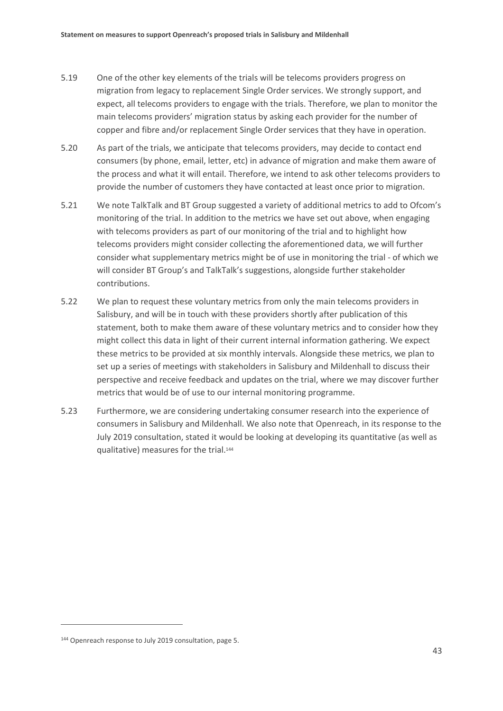- 5.19 One of the other key elements of the trials will be telecoms providers progress on migration from legacy to replacement Single Order services. We strongly support, and expect, all telecoms providers to engage with the trials. Therefore, we plan to monitor the main telecoms providers' migration status by asking each provider for the number of copper and fibre and/or replacement Single Order services that they have in operation.
- 5.20 As part of the trials, we anticipate that telecoms providers, may decide to contact end consumers (by phone, email, letter, etc) in advance of migration and make them aware of the process and what it will entail. Therefore, we intend to ask other telecoms providers to provide the number of customers they have contacted at least once prior to migration.
- 5.21 We note TalkTalk and BT Group suggested a variety of additional metrics to add to Ofcom's monitoring of the trial. In addition to the metrics we have set out above, when engaging with telecoms providers as part of our monitoring of the trial and to highlight how telecoms providers might consider collecting the aforementioned data, we will further consider what supplementary metrics might be of use in monitoring the trial - of which we will consider BT Group's and TalkTalk's suggestions, alongside further stakeholder contributions.
- 5.22 We plan to request these voluntary metrics from only the main telecoms providers in Salisbury, and will be in touch with these providers shortly after publication of this statement, both to make them aware of these voluntary metrics and to consider how they might collect this data in light of their current internal information gathering. We expect these metrics to be provided at six monthly intervals. Alongside these metrics, we plan to set up a series of meetings with stakeholders in Salisbury and Mildenhall to discuss their perspective and receive feedback and updates on the trial, where we may discover further metrics that would be of use to our internal monitoring programme.
- 5.23 Furthermore, we are considering undertaking consumer research into the experience of consumers in Salisbury and Mildenhall. We also note that Openreach, in its response to the July 2019 consultation, stated it would be looking at developing its quantitative (as well as qualitative) measures for the trial.<sup>144</sup>

<sup>144</sup> Openreach response to July 2019 consultation, page 5.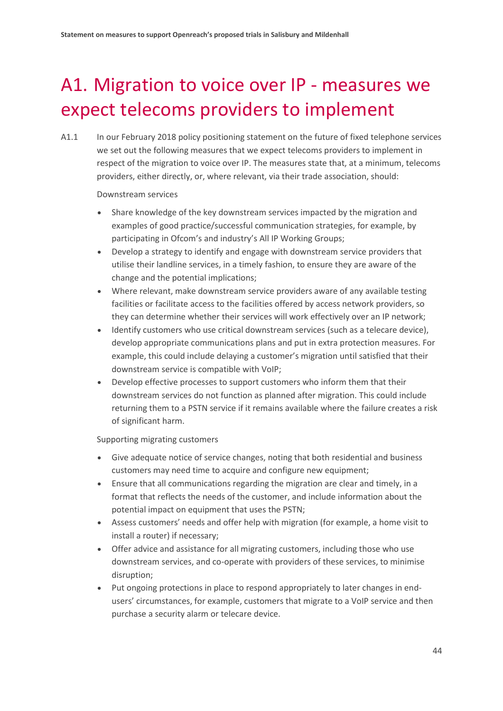# <span id="page-45-0"></span>A1. Migration to voice over IP - measures we expect telecoms providers to implement

A1.1 In our February 2018 policy positioning statement on the future of fixed telephone services we set out the following measures that we expect telecoms providers to implement in respect of the migration to voice over IP. The measures state that, at a minimum, telecoms providers, either directly, or, where relevant, via their trade association, should:

Downstream services

- Share knowledge of the key downstream services impacted by the migration and examples of good practice/successful communication strategies, for example, by participating in Ofcom's and industry's All IP Working Groups;
- Develop a strategy to identify and engage with downstream service providers that utilise their landline services, in a timely fashion, to ensure they are aware of the change and the potential implications;
- Where relevant, make downstream service providers aware of any available testing facilities or facilitate access to the facilities offered by access network providers, so they can determine whether their services will work effectively over an IP network;
- Identify customers who use critical downstream services (such as a telecare device), develop appropriate communications plans and put in extra protection measures. For example, this could include delaying a customer's migration until satisfied that their downstream service is compatible with VoIP;
- Develop effective processes to support customers who inform them that their downstream services do not function as planned after migration. This could include returning them to a PSTN service if it remains available where the failure creates a risk of significant harm.

Supporting migrating customers

- Give adequate notice of service changes, noting that both residential and business customers may need time to acquire and configure new equipment;
- Ensure that all communications regarding the migration are clear and timely, in a format that reflects the needs of the customer, and include information about the potential impact on equipment that uses the PSTN;
- Assess customers' needs and offer help with migration (for example, a home visit to install a router) if necessary;
- Offer advice and assistance for all migrating customers, including those who use downstream services, and co-operate with providers of these services, to minimise disruption;
- Put ongoing protections in place to respond appropriately to later changes in endusers' circumstances, for example, customers that migrate to a VoIP service and then purchase a security alarm or telecare device.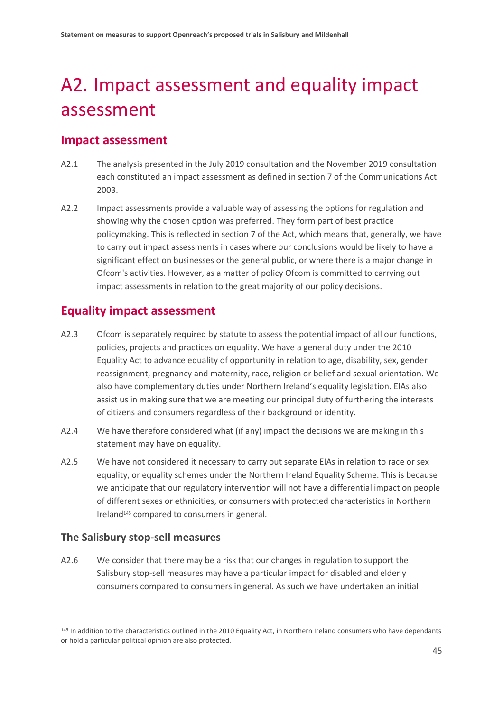# <span id="page-46-0"></span>A2. Impact assessment and equality impact assessment

## **Impact assessment**

- A2.1 The analysis presented in the July 2019 consultation and the November 2019 consultation each constituted an impact assessment as defined in section 7 of the Communications Act 2003.
- A2.2 Impact assessments provide a valuable way of assessing the options for regulation and showing why the chosen option was preferred. They form part of best practice policymaking. This is reflected in section 7 of the Act, which means that, generally, we have to carry out impact assessments in cases where our conclusions would be likely to have a significant effect on businesses or the general public, or where there is a major change in Ofcom's activities. However, as a matter of policy Ofcom is committed to carrying out impact assessments in relation to the great majority of our policy decisions.

# **Equality impact assessment**

- A2.3 Ofcom is separately required by statute to assess the potential impact of all our functions, policies, projects and practices on equality. We have a general duty under the 2010 Equality Act to advance equality of opportunity in relation to age, disability, sex, gender reassignment, pregnancy and maternity, race, religion or belief and sexual orientation. We also have complementary duties under Northern Ireland's equality legislation. EIAs also assist us in making sure that we are meeting our principal duty of furthering the interests of citizens and consumers regardless of their background or identity.
- A2.4 We have therefore considered what (if any) impact the decisions we are making in this statement may have on equality.
- A2.5 We have not considered it necessary to carry out separate EIAs in relation to race or sex equality, or equality schemes under the Northern Ireland Equality Scheme. This is because we anticipate that our regulatory intervention will not have a differential impact on people of different sexes or ethnicities, or consumers with protected characteristics in Northern Ireland<sup>145</sup> compared to consumers in general.

## **The Salisbury stop-sell measures**

 $\overline{a}$ 

A2.6 We consider that there may be a risk that our changes in regulation to support the Salisbury stop-sell measures may have a particular impact for disabled and elderly consumers compared to consumers in general. As such we have undertaken an initial

<sup>145</sup> In addition to the characteristics outlined in the 2010 Equality Act, in Northern Ireland consumers who have dependants or hold a particular political opinion are also protected.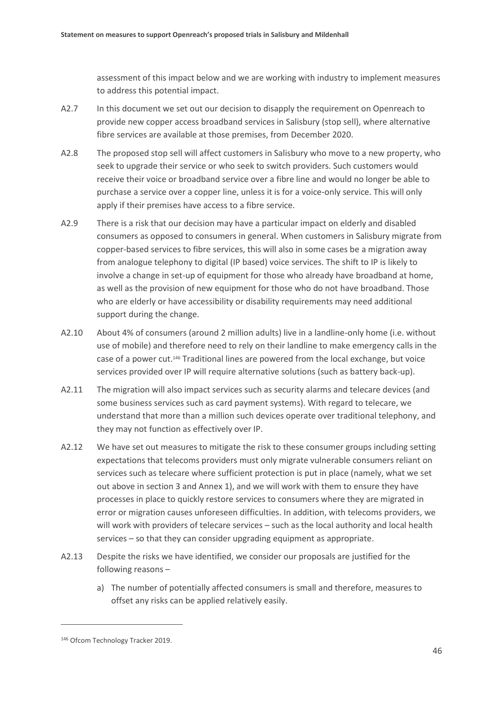assessment of this impact below and we are working with industry to implement measures to address this potential impact.

- A2.7 In this document we set out our decision to disapply the requirement on Openreach to provide new copper access broadband services in Salisbury (stop sell), where alternative fibre services are available at those premises, from December 2020.
- A2.8 The proposed stop sell will affect customers in Salisbury who move to a new property, who seek to upgrade their service or who seek to switch providers. Such customers would receive their voice or broadband service over a fibre line and would no longer be able to purchase a service over a copper line, unless it is for a voice-only service. This will only apply if their premises have access to a fibre service.
- A2.9 There is a risk that our decision may have a particular impact on elderly and disabled consumers as opposed to consumers in general. When customers in Salisbury migrate from copper-based services to fibre services, this will also in some cases be a migration away from analogue telephony to digital (IP based) voice services. The shift to IP is likely to involve a change in set-up of equipment for those who already have broadband at home, as well as the provision of new equipment for those who do not have broadband. Those who are elderly or have accessibility or disability requirements may need additional support during the change.
- A2.10 About 4% of consumers (around 2 million adults) live in a landline-only home (i.e. without use of mobile) and therefore need to rely on their landline to make emergency calls in the case of a power cut.<sup>146</sup> Traditional lines are powered from the local exchange, but voice services provided over IP will require alternative solutions (such as battery back-up).
- A2.11 The migration will also impact services such as security alarms and telecare devices (and some business services such as card payment systems). With regard to telecare, we understand that more than a million such devices operate over traditional telephony, and they may not function as effectively over IP.
- A2.12 We have set out measures to mitigate the risk to these consumer groups including setting expectations that telecoms providers must only migrate vulnerable consumers reliant on services such as telecare where sufficient protection is put in place (namely, what we set out above in section 3 and Annex 1), and we will work with them to ensure they have processes in place to quickly restore services to consumers where they are migrated in error or migration causes unforeseen difficulties. In addition, with telecoms providers, we will work with providers of telecare services – such as the local authority and local health services – so that they can consider upgrading equipment as appropriate.
- A2.13 Despite the risks we have identified, we consider our proposals are justified for the following reasons –
	- a) The number of potentially affected consumers is small and therefore, measures to offset any risks can be applied relatively easily.

<sup>146</sup> Ofcom Technology Tracker 2019.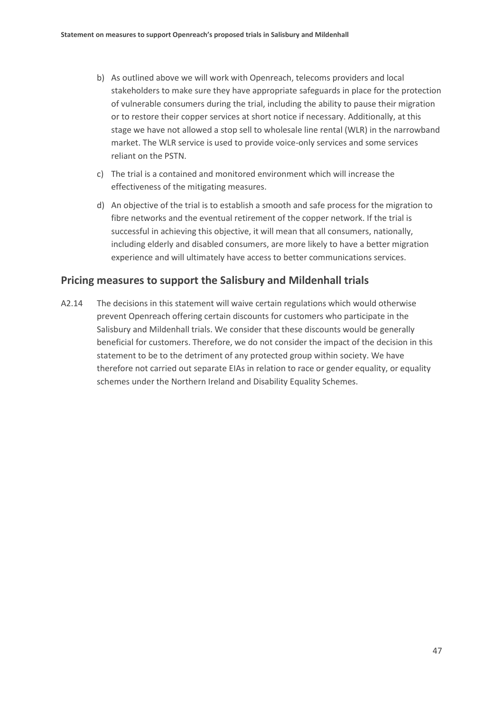- b) As outlined above we will work with Openreach, telecoms providers and local stakeholders to make sure they have appropriate safeguards in place for the protection of vulnerable consumers during the trial, including the ability to pause their migration or to restore their copper services at short notice if necessary. Additionally, at this stage we have not allowed a stop sell to wholesale line rental (WLR) in the narrowband market. The WLR service is used to provide voice-only services and some services reliant on the PSTN.
- c) The trial is a contained and monitored environment which will increase the effectiveness of the mitigating measures.
- d) An objective of the trial is to establish a smooth and safe process for the migration to fibre networks and the eventual retirement of the copper network. If the trial is successful in achieving this objective, it will mean that all consumers, nationally, including elderly and disabled consumers, are more likely to have a better migration experience and will ultimately have access to better communications services.

### **Pricing measures to support the Salisbury and Mildenhall trials**

A2.14 The decisions in this statement will waive certain regulations which would otherwise prevent Openreach offering certain discounts for customers who participate in the Salisbury and Mildenhall trials. We consider that these discounts would be generally beneficial for customers. Therefore, we do not consider the impact of the decision in this statement to be to the detriment of any protected group within society. We have therefore not carried out separate EIAs in relation to race or gender equality, or equality schemes under the Northern Ireland and Disability Equality Schemes.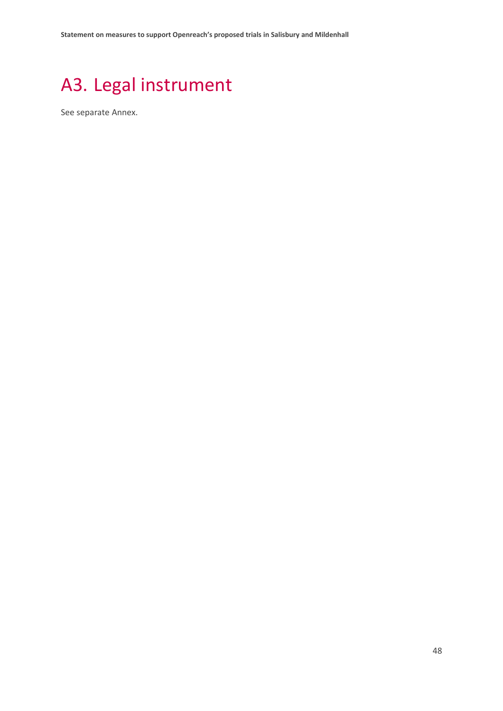# <span id="page-49-0"></span>A3. Legal instrument

See separate Annex.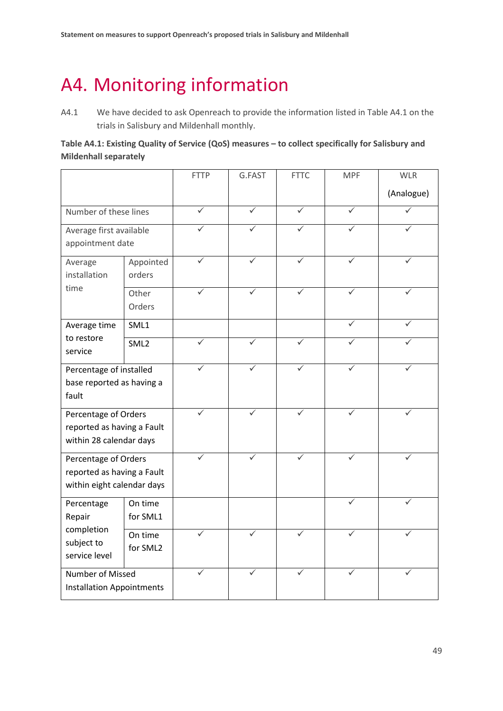# <span id="page-50-0"></span>A4. Monitoring information

A4.1 We have decided to ask Openreach to provide the information listed in Table A4.1 on the trials in Salisbury and Mildenhall monthly.

### **Table A4.1: Existing Quality of Service (QoS) measures – to collect specifically for Salisbury and Mildenhall separately**

|                                                                                  |                     | <b>FTTP</b>  | G.FAST | <b>FTTC</b> | <b>MPF</b>   | <b>WLR</b> |
|----------------------------------------------------------------------------------|---------------------|--------------|--------|-------------|--------------|------------|
|                                                                                  |                     |              |        |             |              | (Analogue) |
| Number of these lines                                                            |                     |              | ✓      | ✓           | ✓            |            |
| Average first available<br>appointment date                                      |                     |              |        | ✓           | ✓            |            |
| Average<br>installation<br>time                                                  | Appointed<br>orders |              |        |             |              |            |
|                                                                                  | Other<br>Orders     |              |        |             |              |            |
| Average time<br>to restore<br>service                                            | SML1                |              |        |             | $\checkmark$ |            |
|                                                                                  | SML <sub>2</sub>    |              | ✓      | ✓           |              |            |
| Percentage of installed<br>base reported as having a<br>fault                    |                     | $\checkmark$ | ✓      | ✓           | ✓            |            |
| Percentage of Orders<br>reported as having a Fault<br>within 28 calendar days    |                     | ✓            | ✓      | ✓           | ✓            |            |
| Percentage of Orders<br>reported as having a Fault<br>within eight calendar days |                     |              |        |             | ✓            |            |
| Percentage<br>Repair<br>completion<br>subject to<br>service level                | On time<br>for SML1 |              |        |             | $\checkmark$ |            |
|                                                                                  | On time<br>for SML2 |              |        |             |              |            |
| Number of Missed<br><b>Installation Appointments</b>                             |                     |              |        | ✓           |              |            |